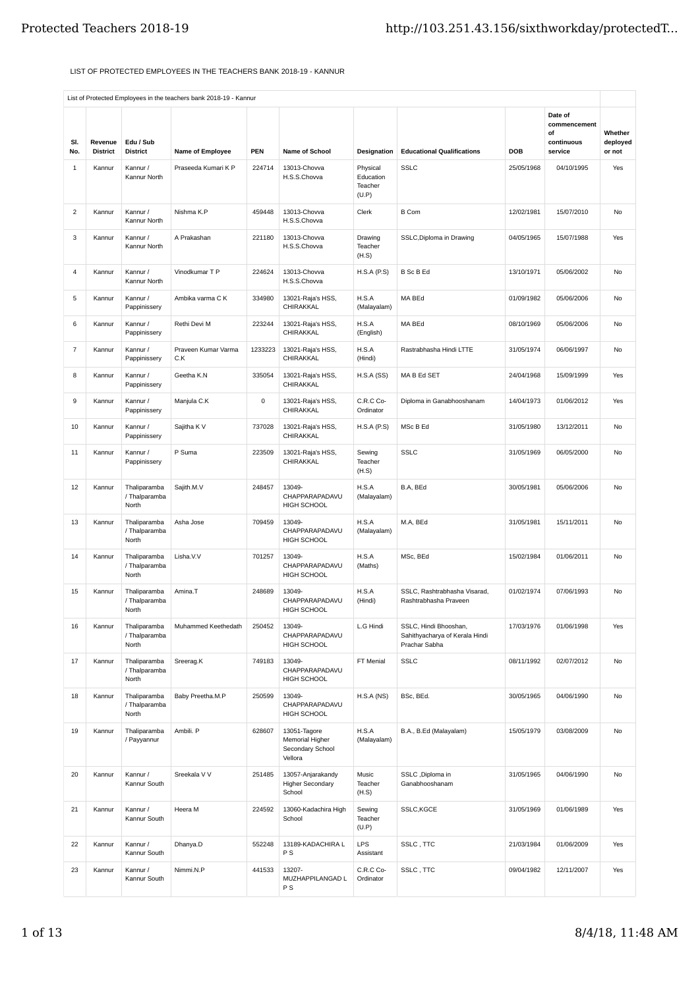## LIST OF PROTECTED EMPLOYEES IN THE TEACHERS BANK 2018-19 - KANNUR

|                |                            |                                        | List of Flotcucu Linployees in the teachers bank zollo-19 - Kannun |         |                                                                |                                           |                                                                          |            |                             |                               |
|----------------|----------------------------|----------------------------------------|--------------------------------------------------------------------|---------|----------------------------------------------------------------|-------------------------------------------|--------------------------------------------------------------------------|------------|-----------------------------|-------------------------------|
|                |                            |                                        |                                                                    |         |                                                                |                                           |                                                                          |            | Date of<br>commencement     |                               |
| SI.<br>No.     | Revenue<br><b>District</b> | Edu / Sub<br><b>District</b>           | Name of Employee                                                   | PEN     | Name of School                                                 | Designation                               | <b>Educational Qualifications</b>                                        | DOB        | of<br>continuous<br>service | Whether<br>deployed<br>or not |
| 1              | Kannur                     | Kannur /<br>Kannur North               | Praseeda Kumari K P                                                | 224714  | 13013-Chovva<br>H.S.S.Chowa                                    | Physical<br>Education<br>Teacher<br>(U.P) | <b>SSLC</b>                                                              | 25/05/1968 | 04/10/1995                  | Yes                           |
| 2              | Kannur                     | Kannur /<br>Kannur North               | Nishma K.P                                                         | 459448  | 13013-Chovva<br>H.S.S.Chowa                                    | Clerk                                     | <b>B</b> Com                                                             | 12/02/1981 | 15/07/2010                  | No                            |
| 3              | Kannur                     | Kannur /<br>Kannur North               | A Prakashan                                                        | 221180  | 13013-Chovva<br>H.S.S.Chowa                                    | Drawing<br>Teacher<br>(H.S)               | SSLC, Diploma in Drawing                                                 | 04/05/1965 | 15/07/1988                  | Yes                           |
| 4              | Kannur                     | Kannur /<br>Kannur North               | Vinodkumar T P                                                     | 224624  | 13013-Chovva<br>H.S.S.Chowa                                    | H.S.A(P.S)                                | <b>B</b> Sc B Ed                                                         | 13/10/1971 | 05/06/2002                  | No                            |
| 5              | Kannur                     | Kannur /<br>Pappinissery               | Ambika varma C K                                                   | 334980  | 13021-Raja's HSS,<br>CHIRAKKAL                                 | H.S.A<br>(Malayalam)                      | MA BEd                                                                   | 01/09/1982 | 05/06/2006                  | No                            |
| 6              | Kannur                     | Kannur /<br>Pappinissery               | Rethi Devi M                                                       | 223244  | 13021-Raja's HSS,<br>CHIRAKKAL                                 | H.S.A<br>(English)                        | MA BEd                                                                   | 08/10/1969 | 05/06/2006                  | No                            |
| $\overline{7}$ | Kannur                     | Kannur /<br>Pappinissery               | Praveen Kumar Varma<br>C.K                                         | 1233223 | 13021-Raja's HSS,<br>CHIRAKKAL                                 | H.S.A<br>(Hindi)                          | Rastrabhasha Hindi LTTE                                                  | 31/05/1974 | 06/06/1997                  | No                            |
| 8              | Kannur                     | Kannur /<br>Pappinissery               | Geetha K.N                                                         | 335054  | 13021-Raja's HSS,<br>CHIRAKKAL                                 | H.S.A(SS)                                 | MA B Ed SET                                                              | 24/04/1968 | 15/09/1999                  | Yes                           |
| 9              | Kannur                     | Kannur /<br>Pappinissery               | Manjula C.K                                                        | 0       | 13021-Raja's HSS,<br>CHIRAKKAL                                 | C.R.C Co-<br>Ordinator                    | Diploma in Ganabhooshanam                                                | 14/04/1973 | 01/06/2012                  | Yes                           |
| 10             | Kannur                     | Kannur /<br>Pappinissery               | Sajitha K V                                                        | 737028  | 13021-Raja's HSS,<br>CHIRAKKAL                                 | H.S.A(P.S)                                | MSc B Ed                                                                 | 31/05/1980 | 13/12/2011                  | No                            |
| 11             | Kannur                     | Kannur /<br>Pappinissery               | P Suma                                                             | 223509  | 13021-Raja's HSS,<br>CHIRAKKAL                                 | Sewing<br>Teacher<br>(H.S)                | <b>SSLC</b>                                                              | 31/05/1969 | 06/05/2000                  | No                            |
| 12             | Kannur                     | Thaliparamba<br>/ Thalparamba<br>North | Sajith.M.V                                                         | 248457  | 13049-<br>CHAPPARAPADAVU<br>HIGH SCHOOL                        | H.S.A<br>(Malayalam)                      | B.A, BEd                                                                 | 30/05/1981 | 05/06/2006                  | No                            |
| 13             | Kannur                     | Thaliparamba<br>/ Thalparamba<br>North | Asha Jose                                                          | 709459  | 13049-<br>CHAPPARAPADAVU<br>HIGH SCHOOL                        | H.S.A<br>(Malayalam)                      | M.A, BEd                                                                 | 31/05/1981 | 15/11/2011                  | No                            |
| 14             | Kannur                     | Thaliparamba<br>/ Thalparamba<br>North | Lisha.V.V                                                          | 701257  | 13049-<br>CHAPPARAPADAVU<br>HIGH SCHOOL                        | H.S.A<br>(Maths)                          | MSc, BEd                                                                 | 15/02/1984 | 01/06/2011                  | No                            |
| 15             | Kannur                     | Thaliparamba<br>/ Thalparamba<br>North | Amina.T                                                            | 248689  | 13049-<br>CHAPPARAPADAVU<br>HIGH SCHOOL                        | H.S.A<br>(Hindi)                          | SSLC, Rashtrabhasha Visarad,<br>Rashtrabhasha Praveen                    | 01/02/1974 | 07/06/1993                  | No                            |
| 16             | Kannur                     | Thaliparamba<br>/ Thalparamba<br>North | Muhammed Keethedath                                                | 250452  | 13049-<br>CHAPPARAPADAVU<br>HIGH SCHOOL                        | L.G Hindi                                 | SSLC, Hindi Bhooshan,<br>Sahithyacharya of Kerala Hindi<br>Prachar Sabha | 17/03/1976 | 01/06/1998                  | Yes                           |
| 17             | Kannur                     | Thaliparamba<br>/ Thalparamba<br>North | Sreerag.K                                                          | 749183  | 13049-<br>CHAPPARAPADAVU<br>HIGH SCHOOL                        | FT Menial                                 | <b>SSLC</b>                                                              | 08/11/1992 | 02/07/2012                  | No                            |
| 18             | Kannur                     | Thaliparamba<br>/ Thalparamba<br>North | Baby Preetha.M.P                                                   | 250599  | 13049-<br>CHAPPARAPADAVU<br>HIGH SCHOOL                        | H.S.A(NS)                                 | BSc, BEd.                                                                | 30/05/1965 | 04/06/1990                  | No                            |
| 19             | Kannur                     | Thaliparamba<br>/ Payyannur            | Ambili. P                                                          | 628607  | 13051-Tagore<br>Memorial Higher<br>Secondary School<br>Vellora | H.S.A<br>(Malayalam)                      | B.A., B.Ed (Malayalam)                                                   | 15/05/1979 | 03/08/2009                  | No                            |
| 20             | Kannur                     | Kannur /<br>Kannur South               | Sreekala V V                                                       | 251485  | 13057-Anjarakandy<br><b>Higher Secondary</b><br>School         | Music<br>Teacher<br>(H.S)                 | SSLC ,Diploma in<br>Ganabhooshanam                                       | 31/05/1965 | 04/06/1990                  | No                            |
| 21             | Kannur                     | Kannur /<br>Kannur South               | Heera M                                                            | 224592  | 13060-Kadachira High<br>School                                 | Sewing<br>Teacher<br>(U.P)                | SSLC,KGCE                                                                | 31/05/1969 | 01/06/1989                  | Yes                           |
| 22             | Kannur                     | Kannur /<br>Kannur South               | Dhanya.D                                                           | 552248  | 13189-KADACHIRA L<br>P S                                       | LPS<br>Assistant                          | SSLC, TTC                                                                | 21/03/1984 | 01/06/2009                  | Yes                           |
| 23             | Kannur                     | Kannur /<br>Kannur South               | Nimmi.N.P                                                          | 441533  | 13207-<br>MUZHAPPILANGAD L<br>P S                              | C.R.C Co-<br>Ordinator                    | SSLC, TTC                                                                | 09/04/1982 | 12/11/2007                  | Yes                           |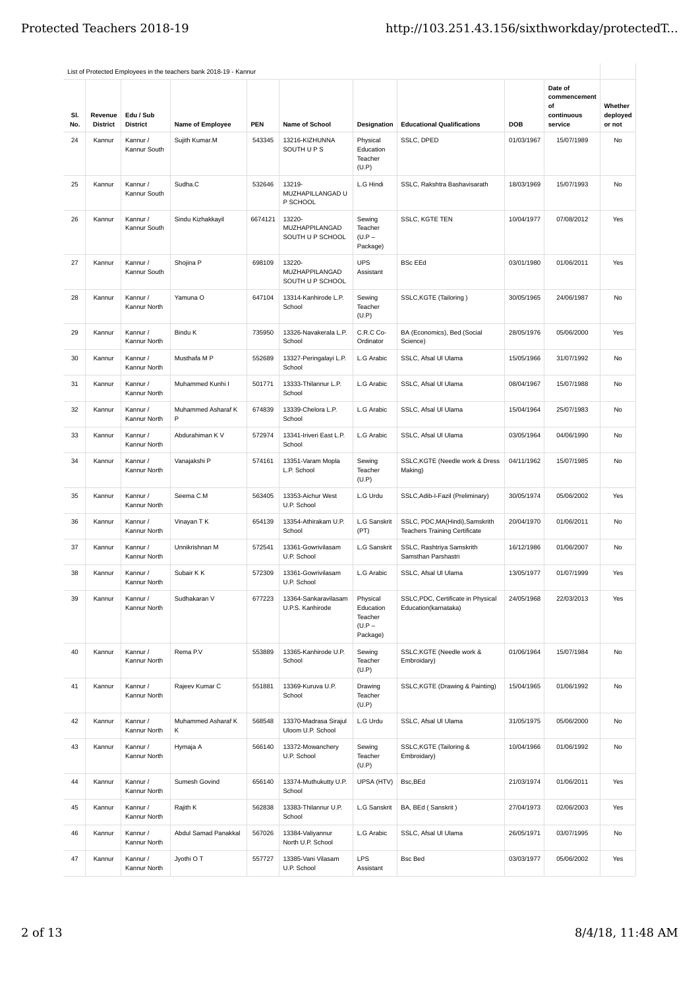|            |                            |                              | List of Protected Employees in the teachers bank 2018-19 - Kannur |            |                                                     |                                                          |                                                                         |            |                                                        |                               |
|------------|----------------------------|------------------------------|-------------------------------------------------------------------|------------|-----------------------------------------------------|----------------------------------------------------------|-------------------------------------------------------------------------|------------|--------------------------------------------------------|-------------------------------|
| SI.<br>No. | Revenue<br><b>District</b> | Edu / Sub<br><b>District</b> | <b>Name of Employee</b>                                           | <b>PEN</b> | Name of School                                      | <b>Designation</b>                                       | <b>Educational Qualifications</b>                                       | <b>DOB</b> | Date of<br>commencement<br>of<br>continuous<br>service | Whether<br>deployed<br>or not |
| 24         | Kannur                     | Kannur /<br>Kannur South     | Sujith Kumar.M                                                    | 543345     | 13216-KIZHUNNA<br>SOUTH U P S                       | Physical<br>Education<br>Teacher<br>(U.P)                | SSLC, DPED                                                              | 01/03/1967 | 15/07/1989                                             | No                            |
| 25         | Kannur                     | Kannur /<br>Kannur South     | Sudha.C                                                           | 532646     | 13219-<br>MUZHAPILLANGAD U<br>P SCHOOL              | L.G Hindi                                                | SSLC, Rakshtra Bashavisarath                                            | 18/03/1969 | 15/07/1993                                             | No                            |
| 26         | Kannur                     | Kannur /<br>Kannur South     | Sindu Kizhakkayil                                                 | 6674121    | 13220-<br><b>MUZHAPPILANGAD</b><br>SOUTH U P SCHOOL | Sewing<br>Teacher<br>$(U.P -$<br>Package)                | <b>SSLC, KGTE TEN</b>                                                   | 10/04/1977 | 07/08/2012                                             | Yes                           |
| 27         | Kannur                     | Kannur /<br>Kannur South     | Shojina P                                                         | 698109     | 13220-<br>MUZHAPPILANGAD<br>SOUTH U P SCHOOL        | <b>UPS</b><br>Assistant                                  | <b>BSc EEd</b>                                                          | 03/01/1980 | 01/06/2011                                             | Yes                           |
| 28         | Kannur                     | Kannur /<br>Kannur North     | Yamuna O                                                          | 647104     | 13314-Kanhirode L.P.<br>School                      | Sewing<br>Teacher<br>(U.P)                               | SSLC, KGTE (Tailoring)                                                  | 30/05/1965 | 24/06/1987                                             | No                            |
| 29         | Kannur                     | Kannur /<br>Kannur North     | Bindu K                                                           | 735950     | 13326-Navakerala L.P.<br>School                     | C.R.C Co-<br>Ordinator                                   | BA (Economics), Bed (Social<br>Science)                                 | 28/05/1976 | 05/06/2000                                             | Yes                           |
| 30         | Kannur                     | Kannur /<br>Kannur North     | Musthafa M P                                                      | 552689     | 13327-Peringalayi L.P.<br>School                    | L.G Arabic                                               | SSLC, Afsal Ul Ulama                                                    | 15/05/1966 | 31/07/1992                                             | No                            |
| 31         | Kannur                     | Kannur /<br>Kannur North     | Muhammed Kunhi I                                                  | 501771     | 13333-Thilannur L.P.<br>School                      | L.G Arabic                                               | SSLC, Afsal Ul Ulama                                                    | 08/04/1967 | 15/07/1988                                             | No                            |
| 32         | Kannur                     | Kannur /<br>Kannur North     | Muhammed Asharaf K<br>P                                           | 674839     | 13339-Chelora L.P.<br>School                        | L.G Arabic                                               | SSLC, Afsal Ul Ulama                                                    | 15/04/1964 | 25/07/1983                                             | No                            |
| 33         | Kannur                     | Kannur /<br>Kannur North     | Abdurahiman K V                                                   | 572974     | 13341-Iriveri East L.P.<br>School                   | L.G Arabic                                               | SSLC, Afsal Ul Ulama                                                    | 03/05/1964 | 04/06/1990                                             | No                            |
| 34         | Kannur                     | Kannur /<br>Kannur North     | Vanajakshi P                                                      | 574161     | 13351-Varam Mopla<br>L.P. School                    | Sewing<br>Teacher<br>(U.P)                               | SSLC,KGTE (Needle work & Dress<br>Making)                               | 04/11/1962 | 15/07/1985                                             | <b>No</b>                     |
| 35         | Kannur                     | Kannur /<br>Kannur North     | Seema C.M                                                         | 563405     | 13353-Aichur West<br>U.P. School                    | L.G Urdu                                                 | SSLC, Adib-I-Fazil (Preliminary)                                        | 30/05/1974 | 05/06/2002                                             | Yes                           |
| 36         | Kannur                     | Kannur /<br>Kannur North     | Vinayan T K                                                       | 654139     | 13354-Athirakam U.P.<br>School                      | L.G Sanskrit<br>(PT)                                     | SSLC, PDC, MA(Hindi), Samskrith<br><b>Teachers Training Certificate</b> | 20/04/1970 | 01/06/2011                                             | No                            |
| 37         | Kannur                     | Kannur /<br>Kannur North     | Unnikrishnan M                                                    | 572541     | 13361-Gowrivilasam<br>U.P. School                   | L.G Sanskrit                                             | SSLC, Rashtriya Samskrith<br>Samsthan Parshastri                        | 16/12/1986 | 01/06/2007                                             | No                            |
| 38         | Kannur                     | Kannur /<br>Kannur North     | Subair K K                                                        | 572309     | 13361-Gowrivilasam<br>U.P. School                   | L.G Arabic                                               | SSLC, Afsal Ul Ulama                                                    | 13/05/1977 | 01/07/1999                                             | Yes                           |
| 39         | Kannur                     | Kannur /<br>Kannur North     | Sudhakaran V                                                      | 677223     | 13364-Sankaravilasam<br>U.P.S. Kanhirode            | Physical<br>Education<br>Teacher<br>$(U.P -$<br>Package) | SSLC, PDC, Certificate in Physical<br>Education(karnataka)              | 24/05/1968 | 22/03/2013                                             | Yes                           |
| 40         | Kannur                     | Kannur /<br>Kannur North     | Rema P.V                                                          | 553889     | 13365-Kanhirode U.P.<br>School                      | Sewing<br>Teacher<br>(U.P)                               | SSLC,KGTE (Needle work &<br>Embroidary)                                 | 01/06/1964 | 15/07/1984                                             | No                            |
| 41         | Kannur                     | Kannur /<br>Kannur North     | Rajeev Kumar C                                                    | 551881     | 13369-Kuruva U.P.<br>School                         | Drawing<br>Teacher<br>(U.P)                              | SSLC, KGTE (Drawing & Painting)                                         | 15/04/1965 | 01/06/1992                                             | No                            |
| 42         | Kannur                     | Kannur /<br>Kannur North     | Muhammed Asharaf K<br>Κ                                           | 568548     | 13370-Madrasa Sirajul<br>Uloom U.P. School          | L.G Urdu                                                 | SSLC, Afsal Ul Ulama                                                    | 31/05/1975 | 05/06/2000                                             | No                            |
| 43         | Kannur                     | Kannur /<br>Kannur North     | Hymaja A                                                          | 566140     | 13372-Mowanchery<br>U.P. School                     | Sewing<br>Teacher<br>(U.P)                               | SSLC, KGTE (Tailoring &<br>Embroidary)                                  | 10/04/1966 | 01/06/1992                                             | No                            |
| 44         | Kannur                     | Kannur /<br>Kannur North     | Sumesh Govind                                                     | 656140     | 13374-Muthukutty U.P.<br>School                     | UPSA (HTV)                                               | Bsc, BEd                                                                | 21/03/1974 | 01/06/2011                                             | Yes                           |
| 45         | Kannur                     | Kannur /<br>Kannur North     | Rajith K                                                          | 562838     | 13383-Thilannur U.P.<br>School                      | L.G Sanskrit                                             | BA, BEd (Sanskrit)                                                      | 27/04/1973 | 02/06/2003                                             | Yes                           |
| 46         | Kannur                     | Kannur /<br>Kannur North     | Abdul Samad Panakkal                                              | 567026     | 13384-Valiyannur<br>North U.P. School               | L.G Arabic                                               | SSLC, Afsal Ul Ulama                                                    | 26/05/1971 | 03/07/1995                                             | No                            |
| 47         | Kannur                     | Kannur /<br>Kannur North     | Jyothi O T                                                        | 557727     | 13385-Vani Vilasam<br>U.P. School                   | <b>LPS</b><br>Assistant                                  | <b>Bsc Bed</b>                                                          | 03/03/1977 | 05/06/2002                                             | Yes                           |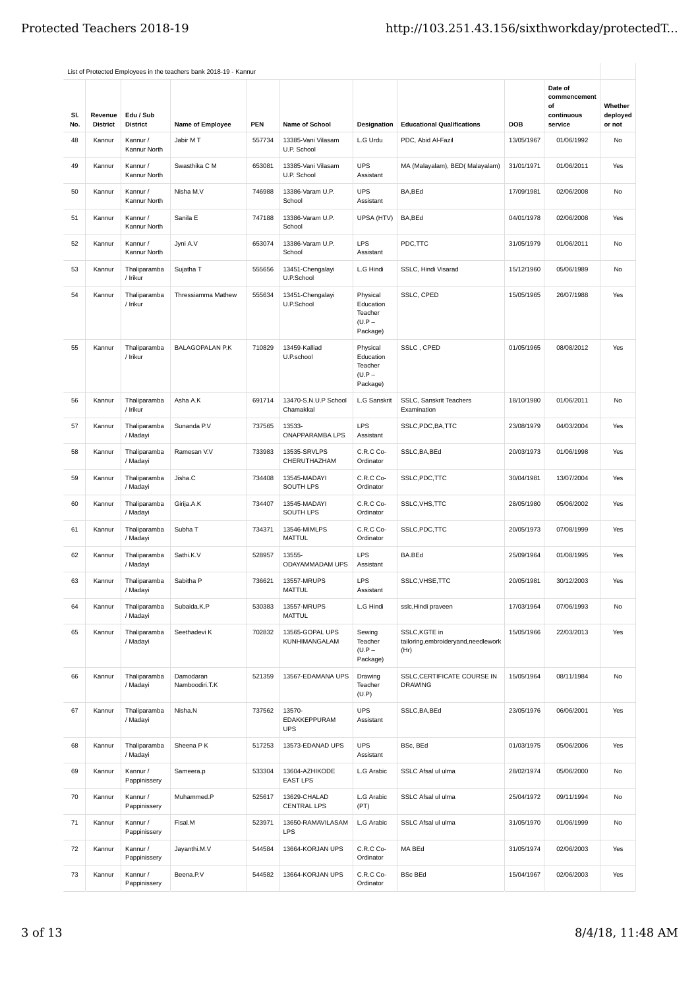| SI.<br>No. | Revenue<br><b>District</b> | Edu / Sub<br><b>District</b> | Name of Employee            | <b>PEN</b> | Name of School                       | Designation                                              | <b>Educational Qualifications</b>                              | <b>DOB</b> | Date of<br>commencement<br>of<br>continuous<br>service | Whether<br>deployed<br>or not |
|------------|----------------------------|------------------------------|-----------------------------|------------|--------------------------------------|----------------------------------------------------------|----------------------------------------------------------------|------------|--------------------------------------------------------|-------------------------------|
| 48         | Kannur                     | Kannur /<br>Kannur North     | Jabir M T                   | 557734     | 13385-Vani Vilasam<br>U.P. School    | L.G Urdu                                                 | PDC, Abid Al-Fazil                                             | 13/05/1967 | 01/06/1992                                             | No                            |
| 49         | Kannur                     | Kannur /<br>Kannur North     | Swasthika C M               | 653081     | 13385-Vani Vilasam<br>U.P. School    | <b>UPS</b><br>Assistant                                  | MA (Malayalam), BED( Malayalam)                                | 31/01/1971 | 01/06/2011                                             | Yes                           |
| 50         | Kannur                     | Kannur /<br>Kannur North     | Nisha M.V                   | 746988     | 13386-Varam U.P.<br>School           | <b>UPS</b><br>Assistant                                  | BA, BEd                                                        | 17/09/1981 | 02/06/2008                                             | No                            |
| 51         | Kannur                     | Kannur /<br>Kannur North     | Sanila E                    | 747188     | 13386-Varam U.P.<br>School           | UPSA (HTV)                                               | BA, BEd                                                        | 04/01/1978 | 02/06/2008                                             | Yes                           |
| 52         | Kannur                     | Kannur /<br>Kannur North     | Jyni A.V                    | 653074     | 13386-Varam U.P.<br>School           | LPS<br>Assistant                                         | PDC,TTC                                                        | 31/05/1979 | 01/06/2011                                             | No                            |
| 53         | Kannur                     | Thaliparamba<br>/ Irikur     | Sujatha T                   | 555656     | 13451-Chengalayi<br>U.P.School       | L.G Hindi                                                | SSLC, Hindi Visarad                                            | 15/12/1960 | 05/06/1989                                             | No                            |
| 54         | Kannur                     | Thaliparamba<br>/ Irikur     | Thressiamma Mathew          | 555634     | 13451-Chengalayi<br>U.P.School       | Physical<br>Education<br>Teacher<br>$(U.P -$<br>Package) | SSLC, CPED                                                     | 15/05/1965 | 26/07/1988                                             | Yes                           |
| 55         | Kannur                     | Thaliparamba<br>/ Irikur     | <b>BALAGOPALAN P.K</b>      | 710829     | 13459-Kalliad<br>U.P.school          | Physical<br>Education<br>Teacher<br>$(U.P -$<br>Package) | SSLC, CPED                                                     | 01/05/1965 | 08/08/2012                                             | Yes                           |
| 56         | Kannur                     | Thaliparamba<br>/ Irikur     | Asha A.K                    | 691714     | 13470-S.N.U.P School<br>Chamakkal    | L.G Sanskrit                                             | SSLC, Sanskrit Teachers<br>Examination                         | 18/10/1980 | 01/06/2011                                             | No                            |
| 57         | Kannur                     | Thaliparamba<br>/ Madayi     | Sunanda P.V                 | 737565     | 13533-<br>ONAPPARAMBA LPS            | LPS<br>Assistant                                         | SSLC,PDC,BA,TTC                                                | 23/08/1979 | 04/03/2004                                             | Yes                           |
| 58         | Kannur                     | Thaliparamba<br>/ Madayi     | Ramesan V.V                 | 733983     | 13535-SRVLPS<br>CHERUTHAZHAM         | C.R.C Co-<br>Ordinator                                   | SSLC, BA, BEd                                                  | 20/03/1973 | 01/06/1998                                             | Yes                           |
| 59         | Kannur                     | Thaliparamba<br>/ Madayi     | Jisha.C                     | 734408     | 13545-MADAYI<br>SOUTH LPS            | C.R.C Co-<br>Ordinator                                   | SSLC,PDC,TTC                                                   | 30/04/1981 | 13/07/2004                                             | Yes                           |
| 60         | Kannur                     | Thaliparamba<br>/ Madayi     | Girija.A.K                  | 734407     | 13545-MADAYI<br>SOUTH LPS            | C.R.C Co-<br>Ordinator                                   | SSLC, VHS, TTC                                                 | 28/05/1980 | 05/06/2002                                             | Yes                           |
| 61         | Kannur                     | Thaliparamba<br>/ Madayi     | Subha T                     | 734371     | 13546-MIMLPS<br><b>MATTUL</b>        | C.R.C Co-<br>Ordinator                                   | SSLC,PDC,TTC                                                   | 20/05/1973 | 07/08/1999                                             | Yes                           |
| 62         | Kannur                     | Thaliparamba<br>/ Madayi     | Sathi.K.V                   | 528957     | 13555-<br>ODAYAMMADAM UPS            | LPS<br>Assistant                                         | BA.BEd                                                         | 25/09/1964 | 01/08/1995                                             | Yes                           |
| 63         | Kannur                     | Thaliparamba<br>/ Madayi     | Sabitha P                   | 736621     | 13557-MRUPS<br><b>MATTUL</b>         | LPS<br>Assistant                                         | SSLC, VHSE, TTC                                                | 20/05/1981 | 30/12/2003                                             | Yes                           |
| 64         | Kannur                     | Thaliparamba<br>/ Madayi     | Subaida.K.P                 | 530383     | 13557-MRUPS<br><b>MATTUL</b>         | L.G Hindi                                                | sslc, Hindi praveen                                            | 17/03/1964 | 07/06/1993                                             | No                            |
| 65         | Kannur                     | Thaliparamba<br>/ Madayi     | Seethadevi K                | 702832     | 13565-GOPAL UPS<br>KUNHIMANGALAM     | Sewing<br>Teacher<br>$(U.P -$<br>Package)                | SSLC, KGTE in<br>tailoring, embroidery and, needlework<br>(Hr) | 15/05/1966 | 22/03/2013                                             | Yes                           |
| 66         | Kannur                     | Thaliparamba<br>/ Madayi     | Damodaran<br>Namboodiri.T.K | 521359     | 13567-EDAMANA UPS                    | Drawing<br>Teacher<br>(U.P)                              | SSLC, CERTIFICATE COURSE IN<br><b>DRAWING</b>                  | 15/05/1964 | 08/11/1984                                             | No                            |
| 67         | Kannur                     | Thaliparamba<br>/ Madayi     | Nisha.N                     | 737562     | 13570-<br>EDAKKEPPURAM<br><b>UPS</b> | <b>UPS</b><br>Assistant                                  | SSLC, BA, BEd                                                  | 23/05/1976 | 06/06/2001                                             | Yes                           |
| 68         | Kannur                     | Thaliparamba<br>/ Madayi     | Sheena P K                  | 517253     | 13573-EDANAD UPS                     | <b>UPS</b><br>Assistant                                  | BSc, BEd                                                       | 01/03/1975 | 05/06/2006                                             | Yes                           |
| 69         | Kannur                     | Kannur /<br>Pappinissery     | Sameera.p                   | 533304     | 13604-AZHIKODE<br><b>EAST LPS</b>    | L.G Arabic                                               | SSLC Afsal ul ulma                                             | 28/02/1974 | 05/06/2000                                             | No                            |
| 70         | Kannur                     | Kannur /<br>Pappinissery     | Muhammed.P                  | 525617     | 13629-CHALAD<br>CENTRAL LPS          | L.G Arabic<br>(PT)                                       | SSLC Afsal ul ulma                                             | 25/04/1972 | 09/11/1994                                             | No                            |
| 71         | Kannur                     | Kannur /<br>Pappinissery     | Fisal.M                     | 523971     | 13650-RAMAVILASAM<br><b>LPS</b>      | L.G Arabic                                               | SSLC Afsal ul ulma                                             | 31/05/1970 | 01/06/1999                                             | No                            |
| 72         | Kannur                     | Kannur /<br>Pappinissery     | Jayanthi.M.V                | 544584     | 13664-KORJAN UPS                     | C.R.C Co-<br>Ordinator                                   | MA BEd                                                         | 31/05/1974 | 02/06/2003                                             | Yes                           |
| 73         | Kannur                     | Kannur /<br>Pappinissery     | Beena.P.V                   | 544582     | 13664-KORJAN UPS                     | C.R.C Co-<br>Ordinator                                   | <b>BSc BEd</b>                                                 | 15/04/1967 | 02/06/2003                                             | Yes                           |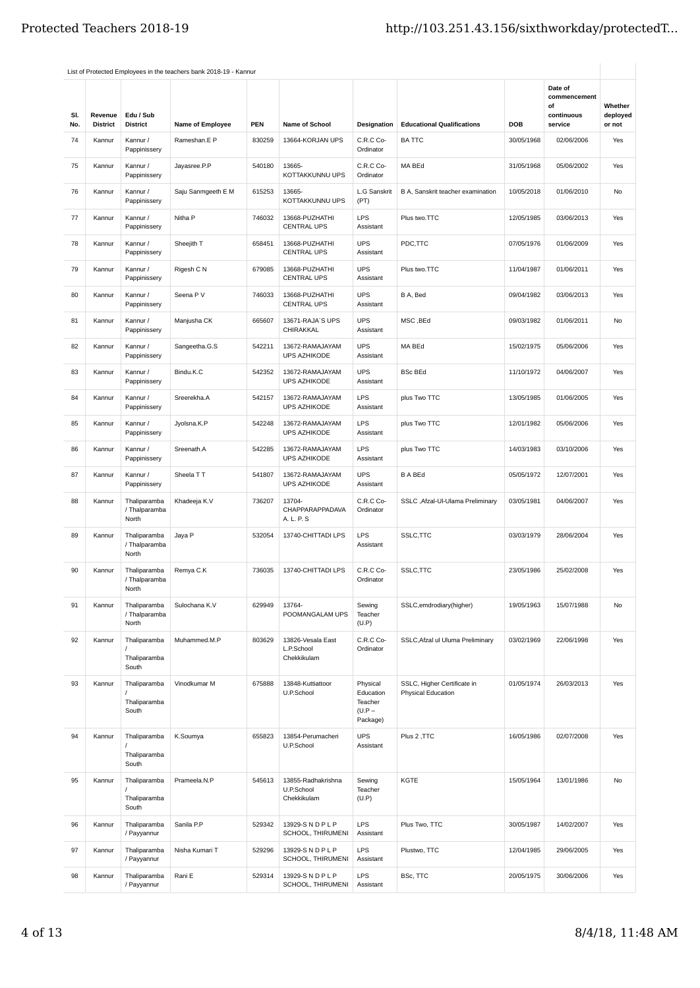| SI. | Revenue         | Edu / Sub                              |                    |            |                                                 |                                                          |                                                          |            | Date of<br>commencement<br>of<br>continuous | Whether<br>deployed |
|-----|-----------------|----------------------------------------|--------------------|------------|-------------------------------------------------|----------------------------------------------------------|----------------------------------------------------------|------------|---------------------------------------------|---------------------|
| No. | <b>District</b> | <b>District</b>                        | Name of Employee   | <b>PEN</b> | Name of School                                  | Designation                                              | <b>Educational Qualifications</b>                        | <b>DOB</b> | service                                     | or not              |
| 74  | Kannur          | Kannur /<br>Pappinissery               | Rameshan.E P       | 830259     | 13664-KORJAN UPS                                | C.R.C Co-<br>Ordinator                                   | <b>BATTC</b>                                             | 30/05/1968 | 02/06/2006                                  | Yes                 |
| 75  | Kannur          | Kannur /<br>Pappinissery               | Jayasree.P.P       | 540180     | 13665-<br>KOTTAKKUNNU UPS                       | C.R.C Co-<br>Ordinator                                   | MA BEd                                                   | 31/05/1968 | 05/06/2002                                  | Yes                 |
| 76  | Kannur          | Kannur /<br>Pappinissery               | Saju Sanmgeeth E M | 615253     | 13665-<br>KOTTAKKUNNU UPS                       | L.G Sanskrit<br>(PT)                                     | B A, Sanskrit teacher examination                        | 10/05/2018 | 01/06/2010                                  | No                  |
| 77  | Kannur          | Kannur /<br>Pappinissery               | Nitha P            | 746032     | 13668-PUZHATHI<br><b>CENTRAL UPS</b>            | LPS<br>Assistant                                         | Plus two.TTC                                             | 12/05/1985 | 03/06/2013                                  | Yes                 |
| 78  | Kannur          | Kannur /<br>Pappinissery               | Sheejith T         | 658451     | 13668-PUZHATHI<br><b>CENTRAL UPS</b>            | <b>UPS</b><br>Assistant                                  | PDC,TTC                                                  | 07/05/1976 | 01/06/2009                                  | Yes                 |
| 79  | Kannur          | Kannur /<br>Pappinissery               | Rigesh C N         | 679085     | 13668-PUZHATHI<br><b>CENTRAL UPS</b>            | <b>UPS</b><br>Assistant                                  | Plus two.TTC                                             | 11/04/1987 | 01/06/2011                                  | Yes                 |
| 80  | Kannur          | Kannur /<br>Pappinissery               | Seena P V          | 746033     | 13668-PUZHATHI<br><b>CENTRAL UPS</b>            | <b>UPS</b><br>Assistant                                  | B A, Bed                                                 | 09/04/1982 | 03/06/2013                                  | Yes                 |
| 81  | Kannur          | Kannur /<br>Pappinissery               | Manjusha CK        | 665607     | 13671-RAJA'S UPS<br><b>CHIRAKKAL</b>            | <b>UPS</b><br>Assistant                                  | MSC, BEd                                                 | 09/03/1982 | 01/06/2011                                  | No                  |
| 82  | Kannur          | Kannur /<br>Pappinissery               | Sangeetha.G.S      | 542211     | 13672-RAMAJAYAM<br><b>UPS AZHIKODE</b>          | <b>UPS</b><br>Assistant                                  | MA BEd                                                   | 15/02/1975 | 05/06/2006                                  | Yes                 |
| 83  | Kannur          | Kannur /<br>Pappinissery               | Bindu.K.C          | 542352     | 13672-RAMAJAYAM<br><b>UPS AZHIKODE</b>          | <b>UPS</b><br>Assistant                                  | <b>BSc BEd</b>                                           | 11/10/1972 | 04/06/2007                                  | Yes                 |
| 84  | Kannur          | Kannur /<br>Pappinissery               | Sreerekha.A        | 542157     | 13672-RAMAJAYAM<br><b>UPS AZHIKODE</b>          | LPS<br>Assistant                                         | plus Two TTC                                             | 13/05/1985 | 01/06/2005                                  | Yes                 |
| 85  | Kannur          | Kannur /<br>Pappinissery               | Jyolsna.K.P        | 542248     | 13672-RAMAJAYAM<br><b>UPS AZHIKODE</b>          | LPS<br>Assistant                                         | plus Two TTC                                             | 12/01/1982 | 05/06/2006                                  | Yes                 |
| 86  | Kannur          | Kannur /<br>Pappinissery               | Sreenath.A         | 542285     | 13672-RAMAJAYAM<br><b>UPS AZHIKODE</b>          | <b>LPS</b><br>Assistant                                  | plus Two TTC                                             | 14/03/1983 | 03/10/2006                                  | Yes                 |
| 87  | Kannur          | Kannur /<br>Pappinissery               | Sheela TT          | 541807     | 13672-RAMAJAYAM<br><b>UPS AZHIKODE</b>          | <b>UPS</b><br>Assistant                                  | <b>B A BEd</b>                                           | 05/05/1972 | 12/07/2001                                  | Yes                 |
| 88  | Kannur          | Thaliparamba<br>/ Thalparamba<br>North | Khadeeja K.V       | 736207     | 13704-<br>CHAPPARAPPADAVA<br>A. L. P. S         | C.R.C Co-<br>Ordinator                                   | SSLC , Afzal-Ul-Ulama Preliminary                        | 03/05/1981 | 04/06/2007                                  | Yes                 |
| 89  | Kannur          | Thaliparamba<br>/ Thalparamba<br>North | Jaya P             | 532054     | 13740-CHITTADI LPS                              | <b>LPS</b><br>Assistant                                  | SSLC, TTC                                                | 03/03/1979 | 28/06/2004                                  | Yes                 |
| 90  | Kannur          | Thaliparamba<br>/ Thalparamba<br>North | Remya C.K          | 736035     | 13740-CHITTADI LPS                              | C.R.C Co-<br>Ordinator                                   | SSLC, TTC                                                | 23/05/1986 | 25/02/2008                                  | Yes                 |
| 91  | Kannur          | Thaliparamba<br>/ Thalparamba<br>North | Sulochana K.V      | 629949     | 13764-<br>POOMANGALAM UPS                       | Sewing<br>Teacher<br>(U.P)                               | SSLC, emdrodiary (higher)                                | 19/05/1963 | 15/07/1988                                  | No                  |
| 92  | Kannur          | Thaliparamba<br>Thaliparamba<br>South  | Muhammed.M.P       | 803629     | 13826-Vesala East<br>L.P.School<br>Chekkikulam  | C.R.C Co-<br>Ordinator                                   | SSLC, Afzal ul Uluma Preliminary                         | 03/02/1969 | 22/06/1998                                  | Yes                 |
| 93  | Kannur          | Thaliparamba<br>Thaliparamba<br>South  | Vinodkumar M       | 675888     | 13848-Kuttiattoor<br>U.P.School                 | Physical<br>Education<br>Teacher<br>$(U.P -$<br>Package) | SSLC, Higher Certificate in<br><b>Physical Education</b> | 01/05/1974 | 26/03/2013                                  | Yes                 |
| 94  | Kannur          | Thaliparamba<br>Thaliparamba<br>South  | K.Soumya           | 655823     | 13854-Perumacheri<br>U.P.School                 | UPS<br>Assistant                                         | Plus 2, TTC                                              | 16/05/1986 | 02/07/2008                                  | Yes                 |
| 95  | Kannur          | Thaliparamba<br>Thaliparamba<br>South  | Prameela.N.P       | 545613     | 13855-Radhakrishna<br>U.P.School<br>Chekkikulam | Sewing<br>Teacher<br>(U.P)                               | KGTE                                                     | 15/05/1964 | 13/01/1986                                  | No                  |
| 96  | Kannur          | Thaliparamba<br>/ Payyannur            | Sanila P.P         | 529342     | 13929-SNDPLP<br>SCHOOL, THIRUMENI               | LPS<br>Assistant                                         | Plus Two, TTC                                            | 30/05/1987 | 14/02/2007                                  | Yes                 |
| 97  | Kannur          | Thaliparamba<br>/ Payyannur            | Nisha Kumari T     | 529296     | 13929-SNDPLP<br>SCHOOL, THIRUMENI               | <b>LPS</b><br>Assistant                                  | Plustwo, TTC                                             | 12/04/1985 | 29/06/2005                                  | Yes                 |
| 98  | Kannur          | Thaliparamba<br>/ Payyannur            | Rani E             | 529314     | 13929-SNDPLP<br>SCHOOL, THIRUMENI               | LPS<br>Assistant                                         | BSc, TTC                                                 | 20/05/1975 | 30/06/2006                                  | Yes                 |
|     |                 |                                        |                    |            |                                                 |                                                          |                                                          |            |                                             |                     |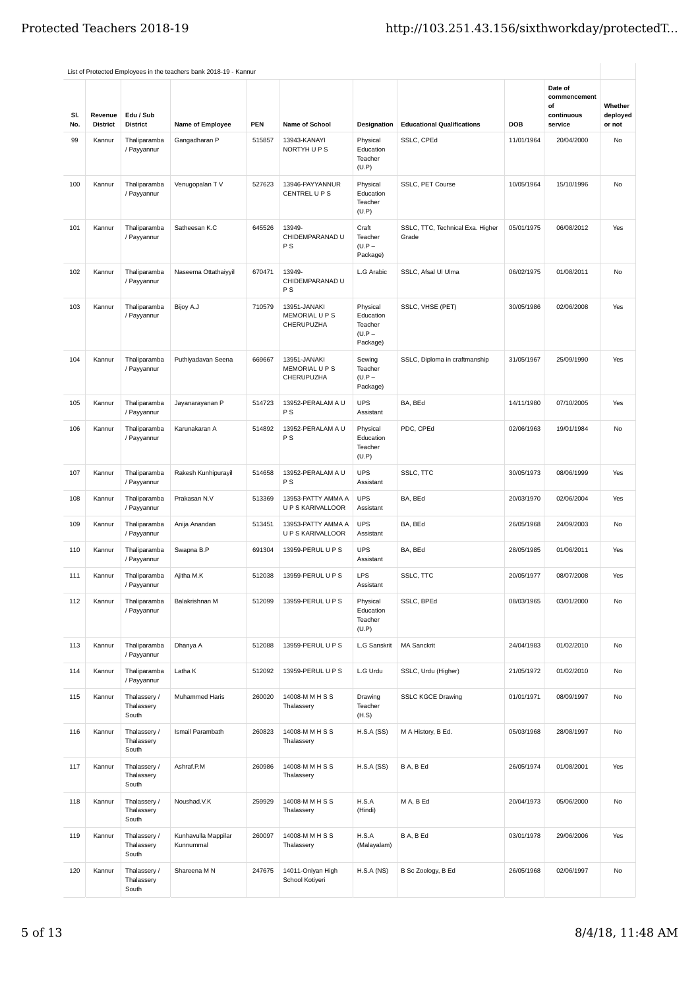|            |                            |                                     | List of Protected Employees in the teachers bank 2018-19 - Kannur |            |                                              |                                                          |                                           |            |                                                        |                               |
|------------|----------------------------|-------------------------------------|-------------------------------------------------------------------|------------|----------------------------------------------|----------------------------------------------------------|-------------------------------------------|------------|--------------------------------------------------------|-------------------------------|
| SI.<br>No. | Revenue<br><b>District</b> | Edu / Sub<br><b>District</b>        | Name of Employee                                                  | <b>PEN</b> | Name of School                               | Designation                                              | <b>Educational Qualifications</b>         | DOB        | Date of<br>commencement<br>of<br>continuous<br>service | Whether<br>deployed<br>or not |
| 99         | Kannur                     | Thaliparamba<br>/ Payyannur         | Gangadharan P                                                     | 515857     | 13943-KANAYI<br>NORTYH UPS                   | Physical<br>Education<br>Teacher<br>(U.P)                | SSLC, CPEd                                | 11/01/1964 | 20/04/2000                                             | No                            |
| 100        | Kannur                     | Thaliparamba<br>/ Payyannur         | Venugopalan TV                                                    | 527623     | 13946-PAYYANNUR<br>CENTREL U P S             | Physical<br>Education<br>Teacher<br>(U.P)                | SSLC, PET Course                          | 10/05/1964 | 15/10/1996                                             | <b>No</b>                     |
| 101        | Kannur                     | Thaliparamba<br>/ Payyannur         | Satheesan K.C                                                     | 645526     | 13949-<br>CHIDEMPARANAD U<br><b>PS</b>       | Craft<br>Teacher<br>$(U.P -$<br>Package)                 | SSLC, TTC, Technical Exa. Higher<br>Grade | 05/01/1975 | 06/08/2012                                             | Yes                           |
| 102        | Kannur                     | Thaliparamba<br>/ Payyannur         | Naseema Ottathaiyyil                                              | 670471     | 13949-<br>CHIDEMPARANAD U<br><b>PS</b>       | L.G Arabic                                               | SSLC, Afsal Ul Ulma                       | 06/02/1975 | 01/08/2011                                             | No                            |
| 103        | Kannur                     | Thaliparamba<br>/ Payyannur         | Bijoy A.J                                                         | 710579     | 13951-JANAKI<br>MEMORIAL U P S<br>CHERUPUZHA | Physical<br>Education<br>Teacher<br>$(U.P -$<br>Package) | SSLC, VHSE (PET)                          | 30/05/1986 | 02/06/2008                                             | Yes                           |
| 104        | Kannur                     | Thaliparamba<br>/ Payyannur         | Puthiyadavan Seena                                                | 669667     | 13951-JANAKI<br>MEMORIAL U P S<br>CHERUPUZHA | Sewing<br>Teacher<br>$(U.P -$<br>Package)                | SSLC, Diploma in craftmanship             | 31/05/1967 | 25/09/1990                                             | Yes                           |
| 105        | Kannur                     | Thaliparamba<br>/ Payyannur         | Jayanarayanan P                                                   | 514723     | 13952-PERALAM A U<br>P S                     | <b>UPS</b><br>Assistant                                  | BA, BEd                                   | 14/11/1980 | 07/10/2005                                             | Yes                           |
| 106        | Kannur                     | Thaliparamba<br>/ Payyannur         | Karunakaran A                                                     | 514892     | 13952-PERALAM A U<br>P S                     | Physical<br>Education<br>Teacher<br>(U.P)                | PDC, CPEd                                 | 02/06/1963 | 19/01/1984                                             | No                            |
| 107        | Kannur                     | Thaliparamba<br>/ Payyannur         | Rakesh Kunhipurayil                                               | 514658     | 13952-PERALAM A U<br>P S                     | <b>UPS</b><br>Assistant                                  | SSLC, TTC                                 | 30/05/1973 | 08/06/1999                                             | Yes                           |
| 108        | Kannur                     | Thaliparamba<br>/ Payyannur         | Prakasan N.V                                                      | 513369     | 13953-PATTY AMMA A<br>U P S KARIVALLOOR      | <b>UPS</b><br>Assistant                                  | BA, BEd                                   | 20/03/1970 | 02/06/2004                                             | Yes                           |
| 109        | Kannur                     | Thaliparamba<br>/ Payyannur         | Anija Anandan                                                     | 513451     | 13953-PATTY AMMA A<br>U P S KARIVALLOOR      | <b>UPS</b><br>Assistant                                  | BA, BEd                                   | 26/05/1968 | 24/09/2003                                             | No                            |
| 110        | Kannur                     | Thaliparamba<br>/ Payyannur         | Swapna B.P                                                        | 691304     | 13959-PERUL U P S                            | <b>UPS</b><br>Assistant                                  | BA, BEd                                   | 28/05/1985 | 01/06/2011                                             | Yes                           |
| 111        | Kannur                     | Thaliparamba<br>/ Payyannur         | Ajitha M.K                                                        | 512038     | 13959-PERUL U P S                            | <b>LPS</b><br>Assistant                                  | SSLC, TTC                                 | 20/05/1977 | 08/07/2008                                             | Yes                           |
| 112        | Kannur                     | Thaliparamba<br>/ Payyannur         | Balakrishnan M                                                    | 512099     | 13959-PERUL U P S                            | Physical<br>Education<br>Teacher<br>(U.P)                | SSLC, BPEd                                | 08/03/1965 | 03/01/2000                                             | No                            |
| 113        | Kannur                     | Thaliparamba<br>/ Payyannur         | Dhanya A                                                          | 512088     | 13959-PERUL U P S                            | L.G Sanskrit                                             | <b>MA Sanckrit</b>                        | 24/04/1983 | 01/02/2010                                             | No                            |
| 114        | Kannur                     | Thaliparamba<br>/ Payyannur         | Latha K                                                           | 512092     | 13959-PERUL U P S                            | L.G Urdu                                                 | SSLC, Urdu (Higher)                       | 21/05/1972 | 01/02/2010                                             | No                            |
| 115        | Kannur                     | Thalassery /<br>Thalassery<br>South | Muhammed Haris                                                    | 260020     | 14008-M M H S S<br>Thalassery                | Drawing<br>Teacher<br>(H.S)                              | <b>SSLC KGCE Drawing</b>                  | 01/01/1971 | 08/09/1997                                             | No                            |
| 116        | Kannur                     | Thalassery /<br>Thalassery<br>South | Ismail Parambath                                                  | 260823     | 14008-M M H S S<br>Thalassery                | H.S.A(SS)                                                | M A History, B Ed.                        | 05/03/1968 | 28/08/1997                                             | No                            |
| 117        | Kannur                     | Thalassery /<br>Thalassery<br>South | Ashraf.P.M                                                        | 260986     | 14008-M M H S S<br>Thalassery                | H.S.A(SS)                                                | B A, B Ed                                 | 26/05/1974 | 01/08/2001                                             | Yes                           |
| 118        | Kannur                     | Thalassery /<br>Thalassery<br>South | Noushad.V.K                                                       | 259929     | 14008-M M H S S<br>Thalassery                | H.S.A<br>(Hindi)                                         | M A, B Ed                                 | 20/04/1973 | 05/06/2000                                             | No                            |
| 119        | Kannur                     | Thalassery /<br>Thalassery<br>South | Kunhavulla Mappilar<br>Kunnummal                                  | 260097     | 14008-M M H S S<br>Thalassery                | H.S.A<br>(Malayalam)                                     | B A, B Ed                                 | 03/01/1978 | 29/06/2006                                             | Yes                           |
| 120        | Kannur                     | Thalassery /<br>Thalassery<br>South | Shareena M N                                                      | 247675     | 14011-Oniyan High<br>School Kotiyeri         | H.S.A(NS)                                                | B Sc Zoology, B Ed                        | 26/05/1968 | 02/06/1997                                             | No                            |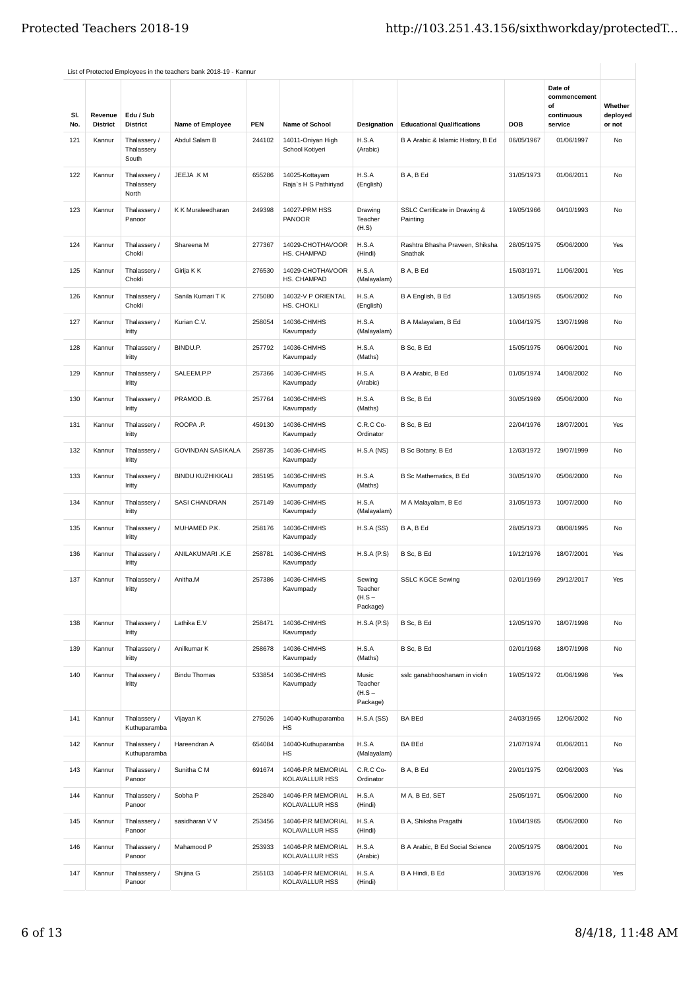|            |                            |                                     | List of Protected Employees in the teachers bank 2018-19 - Kannur |            |                                         |                                           |                                            |            |                                                        |                               |
|------------|----------------------------|-------------------------------------|-------------------------------------------------------------------|------------|-----------------------------------------|-------------------------------------------|--------------------------------------------|------------|--------------------------------------------------------|-------------------------------|
| SI.<br>No. | Revenue<br><b>District</b> | Edu / Sub<br><b>District</b>        | Name of Employee                                                  | <b>PEN</b> | <b>Name of School</b>                   | Designation                               | <b>Educational Qualifications</b>          | DOB        | Date of<br>commencement<br>of<br>continuous<br>service | Whether<br>deployed<br>or not |
| 121        | Kannur                     | Thalassery /<br>Thalassery<br>South | Abdul Salam B                                                     | 244102     | 14011-Oniyan High<br>School Kotiyeri    | H.S.A<br>(Arabic)                         | B A Arabic & Islamic History, B Ed         | 06/05/1967 | 01/06/1997                                             | No                            |
| 122        | Kannur                     | Thalassery /<br>Thalassery<br>North | JEEJA .K M                                                        | 655286     | 14025-Kottayam<br>Raja's H S Pathiriyad | H.S.A<br>(English)                        | B A, B Ed                                  | 31/05/1973 | 01/06/2011                                             | No                            |
| 123        | Kannur                     | Thalassery /<br>Panoor              | K K Muraleedharan                                                 | 249398     | 14027-PRM HSS<br><b>PANOOR</b>          | Drawing<br>Teacher<br>(H.S)               | SSLC Certificate in Drawing &<br>Painting  | 19/05/1966 | 04/10/1993                                             | No                            |
| 124        | Kannur                     | Thalassery /<br>Chokli              | Shareena M                                                        | 277367     | 14029-CHOTHAVOOR<br>HS. CHAMPAD         | H.S.A<br>(Hindi)                          | Rashtra Bhasha Praveen, Shiksha<br>Snathak | 28/05/1975 | 05/06/2000                                             | Yes                           |
| 125        | Kannur                     | Thalassery /<br>Chokli              | Girija K K                                                        | 276530     | 14029-CHOTHAVOOR<br>HS. CHAMPAD         | H.S.A<br>(Malayalam)                      | B A, B Ed                                  | 15/03/1971 | 11/06/2001                                             | Yes                           |
| 126        | Kannur                     | Thalassery /<br>Chokli              | Sanila Kumari T K                                                 | 275080     | 14032-V P ORIENTAL<br>HS. CHOKLI        | H.S.A<br>(English)                        | B A English, B Ed                          | 13/05/1965 | 05/06/2002                                             | No                            |
| 127        | Kannur                     | Thalassery /<br>Iritty              | Kurian C.V.                                                       | 258054     | 14036-CHMHS<br>Kavumpady                | H.S.A<br>(Malayalam)                      | B A Malayalam, B Ed                        | 10/04/1975 | 13/07/1998                                             | No                            |
| 128        | Kannur                     | Thalassery /<br>Iritty              | BINDU.P.                                                          | 257792     | 14036-CHMHS<br>Kavumpady                | H.S.A<br>(Maths)                          | B Sc. B Ed                                 | 15/05/1975 | 06/06/2001                                             | No                            |
| 129        | Kannur                     | Thalassery /<br>Iritty              | SALEEM.P.P                                                        | 257366     | 14036-CHMHS<br>Kavumpady                | H.S.A<br>(Arabic)                         | B A Arabic, B Ed                           | 01/05/1974 | 14/08/2002                                             | No                            |
| 130        | Kannur                     | Thalassery /<br>Iritty              | PRAMOD .B.                                                        | 257764     | 14036-CHMHS<br>Kavumpady                | H.S.A<br>(Maths)                          | B Sc, B Ed                                 | 30/05/1969 | 05/06/2000                                             | No                            |
| 131        | Kannur                     | Thalassery /<br>Iritty              | ROOPA .P.                                                         | 459130     | 14036-CHMHS<br>Kavumpady                | C.R.C Co-<br>Ordinator                    | B Sc, B Ed                                 | 22/04/1976 | 18/07/2001                                             | Yes                           |
| 132        | Kannur                     | Thalassery /<br>Iritty              | GOVINDAN SASIKALA                                                 | 258735     | 14036-CHMHS<br>Kavumpady                | H.S.A(NS)                                 | B Sc Botany, B Ed                          | 12/03/1972 | 19/07/1999                                             | No                            |
| 133        | Kannur                     | Thalassery /<br>Iritty              | <b>BINDU KUZHIKKALI</b>                                           | 285195     | 14036-CHMHS<br>Kavumpady                | H.S.A<br>(Maths)                          | B Sc Mathematics, B Ed                     | 30/05/1970 | 05/06/2000                                             | No                            |
| 134        | Kannur                     | Thalassery /<br>Iritty              | SASI CHANDRAN                                                     | 257149     | 14036-CHMHS<br>Kavumpady                | H.S.A<br>(Malayalam)                      | M A Malayalam, B Ed                        | 31/05/1973 | 10/07/2000                                             | No                            |
| 135        | Kannur                     | Thalassery /<br>Iritty              | MUHAMED P.K.                                                      | 258176     | 14036-CHMHS<br>Kavumpady                | H.S.A(SS)                                 | B A, B Ed                                  | 28/05/1973 | 08/08/1995                                             | No                            |
| 136        | Kannur                     | Thalassery /<br>Iritty              | ANILAKUMARI .K.E                                                  | 258781     | 14036-CHMHS<br>Kavumpady                | $H.S.A$ ( $P.S$ )                         | B Sc, B Ed                                 | 19/12/1976 | 18/07/2001                                             | Yes                           |
| 137        | Kannur                     | Thalassery /<br>Iritty              | Anitha.M                                                          | 257386     | 14036-CHMHS<br>Kavumpady                | Sewing<br>Teacher<br>$(H.S -$<br>Package) | <b>SSLC KGCE Sewing</b>                    | 02/01/1969 | 29/12/2017                                             | Yes                           |
| 138        | Kannur                     | Thalassery /<br>Iritty              | Lathika E.V                                                       | 258471     | 14036-CHMHS<br>Kavumpady                | H.S.A(P.S)                                | B Sc, B Ed                                 | 12/05/1970 | 18/07/1998                                             | No                            |
| 139        | Kannur                     | Thalassery /<br>Iritty              | Anilkumar K                                                       | 258678     | 14036-CHMHS<br>Kavumpady                | H.S.A<br>(Maths)                          | B Sc, B Ed                                 | 02/01/1968 | 18/07/1998                                             | No                            |
| 140        | Kannur                     | Thalassery /<br>Iritty              | <b>Bindu Thomas</b>                                               | 533854     | 14036-CHMHS<br>Kavumpady                | Music<br>Teacher<br>$(H.S -$<br>Package)  | sslc ganabhooshanam in violin              | 19/05/1972 | 01/06/1998                                             | Yes                           |
| 141        | Kannur                     | Thalassery /<br>Kuthuparamba        | Vijayan K                                                         | 275026     | 14040-Kuthuparamba<br>НS                | H.S.A(SS)                                 | <b>BA BEd</b>                              | 24/03/1965 | 12/06/2002                                             | No                            |
| 142        | Kannur                     | Thalassery /<br>Kuthuparamba        | Hareendran A                                                      | 654084     | 14040-Kuthuparamba<br>НS                | H.S.A<br>(Malayalam)                      | <b>BA BEd</b>                              | 21/07/1974 | 01/06/2011                                             | No                            |
| 143        | Kannur                     | Thalassery /<br>Panoor              | Sunitha C M                                                       | 691674     | 14046-P.R MEMORIAL<br>KOLAVALLUR HSS    | C.R.C Co-<br>Ordinator                    | B A, B Ed                                  | 29/01/1975 | 02/06/2003                                             | Yes                           |
| 144        | Kannur                     | Thalassery /<br>Panoor              | Sobha P                                                           | 252840     | 14046-P.R MEMORIAL<br>KOLAVALLUR HSS    | H.S.A<br>(Hindi)                          | M A, B Ed, SET                             | 25/05/1971 | 05/06/2000                                             | No                            |
| 145        | Kannur                     | Thalassery /<br>Panoor              | sasidharan V V                                                    | 253456     | 14046-P.R MEMORIAL<br>KOLAVALLUR HSS    | H.S.A<br>(Hindi)                          | B A, Shiksha Pragathi                      | 10/04/1965 | 05/06/2000                                             | No                            |
| 146        | Kannur                     | Thalassery /<br>Panoor              | Mahamood P                                                        | 253933     | 14046-P.R MEMORIAL<br>KOLAVALLUR HSS    | H.S.A<br>(Arabic)                         | B A Arabic, B Ed Social Science            | 20/05/1975 | 08/06/2001                                             | No                            |
| 147        | Kannur                     | Thalassery /<br>Panoor              | Shijina G                                                         | 255103     | 14046-P.R MEMORIAL<br>KOLAVALLUR HSS    | H.S.A<br>(Hindi)                          | B A Hindi, B Ed                            | 30/03/1976 | 02/06/2008                                             | Yes                           |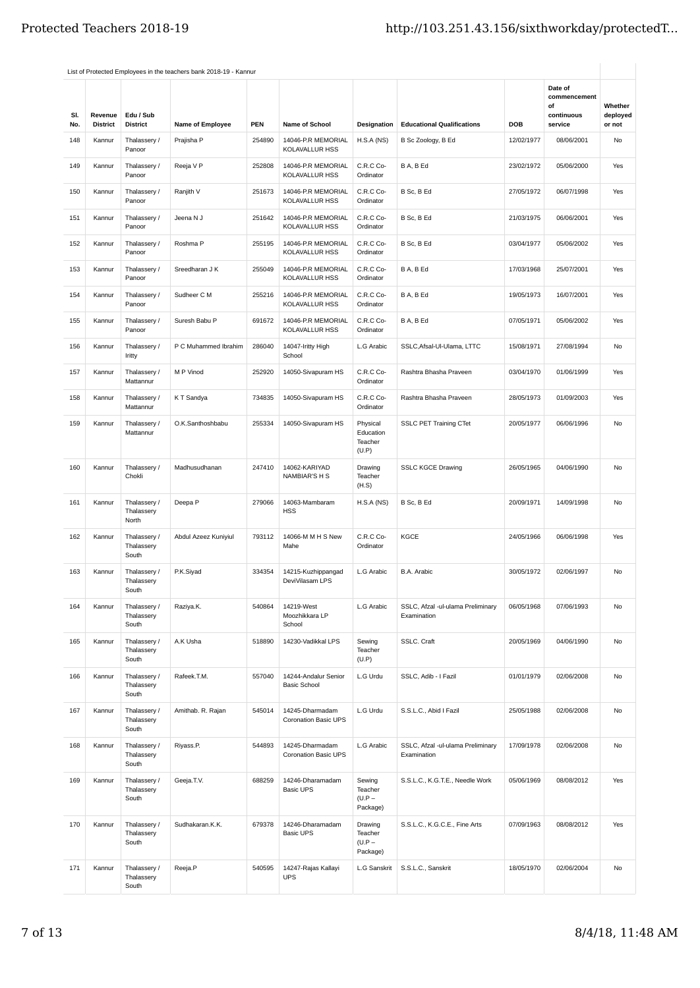|            |                            |                                     | List of Protected Employees in the teachers bank 2018-19 - Kannur |            |                                                |                                            |                                                  |            |                                                        |                               |
|------------|----------------------------|-------------------------------------|-------------------------------------------------------------------|------------|------------------------------------------------|--------------------------------------------|--------------------------------------------------|------------|--------------------------------------------------------|-------------------------------|
| SI.<br>No. | Revenue<br><b>District</b> | Edu / Sub<br><b>District</b>        | Name of Employee                                                  | <b>PEN</b> | <b>Name of School</b>                          | Designation                                | <b>Educational Qualifications</b>                | DOB        | Date of<br>commencement<br>of<br>continuous<br>service | Whether<br>deployed<br>or not |
| 148        | Kannur                     | Thalassery /<br>Panoor              | Prajisha P                                                        | 254890     | 14046-P.R MEMORIAL<br><b>KOLAVALLUR HSS</b>    | H.S.A(NS)                                  | B Sc Zoology, B Ed                               | 12/02/1977 | 08/06/2001                                             | No                            |
| 149        | Kannur                     | Thalassery /<br>Panoor              | Reeja V P                                                         | 252808     | 14046-P.R MEMORIAL<br>KOLAVALLUR HSS           | C.R.C Co-<br>Ordinator                     | B A, B Ed                                        | 23/02/1972 | 05/06/2000                                             | Yes                           |
| 150        | Kannur                     | Thalassery /<br>Panoor              | Ranjith V                                                         | 251673     | 14046-P.R MEMORIAL<br>KOLAVALLUR HSS           | C.R.C Co-<br>Ordinator                     | B Sc, B Ed                                       | 27/05/1972 | 06/07/1998                                             | Yes                           |
| 151        | Kannur                     | Thalassery /<br>Panoor              | Jeena N J                                                         | 251642     | 14046-P.R MEMORIAL<br><b>KOLAVALLUR HSS</b>    | C.R.C Co-<br>Ordinator                     | B Sc, B Ed                                       | 21/03/1975 | 06/06/2001                                             | Yes                           |
| 152        | Kannur                     | Thalassery /<br>Panoor              | Roshma P                                                          | 255195     | 14046-P.R MEMORIAL<br><b>KOLAVALLUR HSS</b>    | C.R.C Co-<br>Ordinator                     | B Sc, B Ed                                       | 03/04/1977 | 05/06/2002                                             | Yes                           |
| 153        | Kannur                     | Thalassery /<br>Panoor              | Sreedharan J K                                                    | 255049     | 14046-P.R MEMORIAL<br><b>KOLAVALLUR HSS</b>    | C.R.C Co-<br>Ordinator                     | B A, B Ed                                        | 17/03/1968 | 25/07/2001                                             | Yes                           |
| 154        | Kannur                     | Thalassery /<br>Panoor              | Sudheer C M                                                       | 255216     | 14046-P.R MEMORIAL<br>KOLAVALLUR HSS           | C.R.C Co-<br>Ordinator                     | B A, B Ed                                        | 19/05/1973 | 16/07/2001                                             | Yes                           |
| 155        | Kannur                     | Thalassery /<br>Panoor              | Suresh Babu P                                                     | 691672     | 14046-P.R MEMORIAL<br><b>KOLAVALLUR HSS</b>    | C.R.C Co-<br>Ordinator                     | B A, B Ed                                        | 07/05/1971 | 05/06/2002                                             | Yes                           |
| 156        | Kannur                     | Thalassery /<br>Iritty              | P C Muhammed Ibrahim                                              | 286040     | 14047-Iritty High<br>School                    | L.G Arabic                                 | SSLC, Afsal-Ul-Ulama, LTTC                       | 15/08/1971 | 27/08/1994                                             | No                            |
| 157        | Kannur                     | Thalassery /<br>Mattannur           | M P Vinod                                                         | 252920     | 14050-Sivapuram HS                             | C.R.C Co-<br>Ordinator                     | Rashtra Bhasha Praveen                           | 03/04/1970 | 01/06/1999                                             | Yes                           |
| 158        | Kannur                     | Thalassery /<br>Mattannur           | K T Sandya                                                        | 734835     | 14050-Sivapuram HS                             | C.R.C Co-<br>Ordinator                     | Rashtra Bhasha Praveen                           | 28/05/1973 | 01/09/2003                                             | Yes                           |
| 159        | Kannur                     | Thalassery /<br>Mattannur           | O.K.Santhoshbabu                                                  | 255334     | 14050-Sivapuram HS                             | Physical<br>Education<br>Teacher<br>(U.P)  | <b>SSLC PET Training CTet</b>                    | 20/05/1977 | 06/06/1996                                             | No                            |
| 160        | Kannur                     | Thalassery /<br>Chokli              | Madhusudhanan                                                     | 247410     | 14062-KARIYAD<br>NAMBIAR'S H S                 | Drawing<br>Teacher<br>(H.S)                | <b>SSLC KGCE Drawing</b>                         | 26/05/1965 | 04/06/1990                                             | No                            |
| 161        | Kannur                     | Thalassery /<br>Thalassery<br>North | Deepa P                                                           | 279066     | 14063-Mambaram<br><b>HSS</b>                   | H.S.A(NS)                                  | B Sc, B Ed                                       | 20/09/1971 | 14/09/1998                                             | No                            |
| 162        | Kannur                     | Thalassery /<br>Thalassery<br>South | Abdul Azeez Kuniyiul                                              | 793112     | 14066-M M H S New<br>Mahe                      | C.R.C Co-<br>Ordinator                     | KGCE                                             | 24/05/1966 | 06/06/1998                                             | Yes                           |
| 163        | Kannur                     | Thalassery /<br>Thalassery<br>South | P.K.Siyad                                                         | 334354     | 14215-Kuzhippangad<br>DeviVilasam LPS          | L.G Arabic                                 | B.A. Arabic                                      | 30/05/1972 | 02/06/1997                                             | No                            |
| 164        | Kannur                     | Thalassery /<br>Thalassery<br>South | Raziya.K.                                                         | 540864     | 14219-West<br>Moozhikkara LP<br>School         | L.G Arabic                                 | SSLC, Afzal -ul-ulama Preliminary<br>Examination | 06/05/1968 | 07/06/1993                                             | No                            |
| 165        | Kannur                     | Thalassery /<br>Thalassery<br>South | A.K Usha                                                          | 518890     | 14230-Vadikkal LPS                             | Sewing<br>Teacher<br>(U.P)                 | SSLC. Craft                                      | 20/05/1969 | 04/06/1990                                             | No                            |
| 166        | Kannur                     | Thalassery /<br>Thalassery<br>South | Rafeek.T.M.                                                       | 557040     | 14244-Andalur Senior<br><b>Basic School</b>    | L.G Urdu                                   | SSLC, Adib - I Fazil                             | 01/01/1979 | 02/06/2008                                             | No                            |
| 167        | Kannur                     | Thalassery /<br>Thalassery<br>South | Amithab. R. Rajan                                                 | 545014     | 14245-Dharmadam<br><b>Coronation Basic UPS</b> | L.G Urdu                                   | S.S.L.C., Abid I Fazil                           | 25/05/1988 | 02/06/2008                                             | No                            |
| 168        | Kannur                     | Thalassery /<br>Thalassery<br>South | Riyass.P.                                                         | 544893     | 14245-Dharmadam<br><b>Coronation Basic UPS</b> | L.G Arabic                                 | SSLC, Afzal -ul-ulama Preliminary<br>Examination | 17/09/1978 | 02/06/2008                                             | No                            |
| 169        | Kannur                     | Thalassery /<br>Thalassery<br>South | Geeja.T.V.                                                        | 688259     | 14246-Dharamadam<br><b>Basic UPS</b>           | Sewing<br>Teacher<br>$(U.P -$<br>Package)  | S.S.L.C., K.G.T.E., Needle Work                  | 05/06/1969 | 08/08/2012                                             | Yes                           |
| 170        | Kannur                     | Thalassery /<br>Thalassery<br>South | Sudhakaran.K.K.                                                   | 679378     | 14246-Dharamadam<br><b>Basic UPS</b>           | Drawing<br>Teacher<br>$(U.P -$<br>Package) | S.S.L.C., K.G.C.E., Fine Arts                    | 07/09/1963 | 08/08/2012                                             | Yes                           |
| 171        | Kannur                     | Thalassery /<br>Thalassery<br>South | Reeja.P                                                           | 540595     | 14247-Rajas Kallayi<br><b>UPS</b>              | L.G Sanskrit                               | S.S.L.C., Sanskrit                               | 18/05/1970 | 02/06/2004                                             | <b>No</b>                     |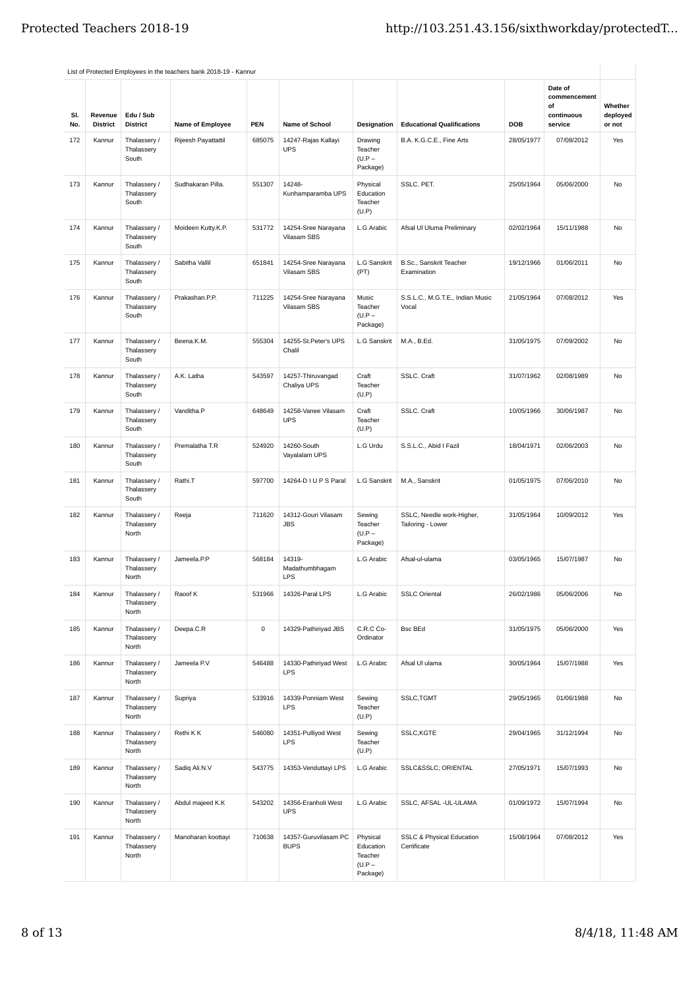|            |                            |                                     | List of Protected Employees in the teachers bank 2018-19 - Kannur |             |                                           |                                                          |                                                     |            |                                                        |                               |
|------------|----------------------------|-------------------------------------|-------------------------------------------------------------------|-------------|-------------------------------------------|----------------------------------------------------------|-----------------------------------------------------|------------|--------------------------------------------------------|-------------------------------|
| SI.<br>No. | Revenue<br><b>District</b> | Edu / Sub<br><b>District</b>        | <b>Name of Employee</b>                                           | <b>PEN</b>  | Name of School                            | Designation                                              | <b>Educational Qualifications</b>                   | <b>DOB</b> | Date of<br>commencement<br>of<br>continuous<br>service | Whether<br>deployed<br>or not |
| 172        | Kannur                     | Thalassery /<br>Thalassery<br>South | Rijeesh Payattattil                                               | 685075      | 14247-Rajas Kallayi<br><b>UPS</b>         | Drawing<br>Teacher<br>$(U.P -$<br>Package)               | B.A. K.G.C.E., Fine Arts                            | 28/05/1977 | 07/08/2012                                             | Yes                           |
| 173        | Kannur                     | Thalassery /<br>Thalassery<br>South | Sudhakaran Pilla.                                                 | 551307      | 14248-<br>Kunhamparamba UPS               | Physical<br>Education<br>Teacher<br>(U.P)                | SSLC. PET.                                          | 25/05/1964 | 05/06/2000                                             | <b>No</b>                     |
| 174        | Kannur                     | Thalassery /<br>Thalassery<br>South | Moideen Kutty.K.P.                                                | 531772      | 14254-Sree Narayana<br>Vilasam SBS        | L.G Arabic                                               | Afsal Ul Uluma Preliminary                          | 02/02/1964 | 15/11/1988                                             | No                            |
| 175        | Kannur                     | Thalassery /<br>Thalassery<br>South | Sabitha Vallil                                                    | 651841      | 14254-Sree Narayana<br><b>Vilasam SBS</b> | L.G Sanskrit<br>(PT)                                     | B.Sc., Sanskrit Teacher<br>Examination              | 19/12/1966 | 01/06/2011                                             | No                            |
| 176        | Kannur                     | Thalassery /<br>Thalassery<br>South | Prakashan.P.P.                                                    | 711225      | 14254-Sree Narayana<br>Vilasam SBS        | Music<br>Teacher<br>$(U.P -$<br>Package)                 | S.S.L.C., M.G.T.E., Indian Music<br>Vocal           | 21/05/1964 | 07/08/2012                                             | Yes                           |
| 177        | Kannur                     | Thalassery /<br>Thalassery<br>South | Beena.K.M.                                                        | 555304      | 14255-St.Peter's UPS<br>Chalil            | L.G Sanskrit                                             | M.A., B.Ed.                                         | 31/05/1975 | 07/09/2002                                             | <b>No</b>                     |
| 178        | Kannur                     | Thalassery /<br>Thalassery<br>South | A.K. Latha                                                        | 543597      | 14257-Thiruvangad<br>Chaliya UPS          | Craft<br>Teacher<br>(U.P)                                | SSLC. Craft                                         | 31/07/1962 | 02/08/1989                                             | No                            |
| 179        | Kannur                     | Thalassery /<br>Thalassery<br>South | Vanditha.P                                                        | 648649      | 14258-Vanee Vilasam<br><b>UPS</b>         | Craft<br>Teacher<br>(U.P)                                | SSLC. Craft                                         | 10/05/1966 | 30/06/1987                                             | No                            |
| 180        | Kannur                     | Thalassery /<br>Thalassery<br>South | Premalatha T.R                                                    | 524920      | 14260-South<br>Vayalalam UPS              | L.G Urdu                                                 | S.S.L.C., Abid I Fazil                              | 18/04/1971 | 02/06/2003                                             | No                            |
| 181        | Kannur                     | Thalassery /<br>Thalassery<br>South | Rathi.T                                                           | 597700      | 14264-D I U P S Paral                     | L.G Sanskrit                                             | M.A., Sanskrit                                      | 01/05/1975 | 07/06/2010                                             | <b>No</b>                     |
| 182        | Kannur                     | Thalassery /<br>Thalassery<br>North | Reeja                                                             | 711620      | 14312-Gouri Vilasam<br><b>JBS</b>         | Sewing<br>Teacher<br>$(U.P -$<br>Package)                | SSLC, Needle work-Higher,<br>Tailoring - Lower      | 31/05/1964 | 10/09/2012                                             | Yes                           |
| 183        | Kannur                     | Thalassery /<br>Thalassery<br>North | Jameela.P.P                                                       | 568184      | 14319-<br>Madathumbhagam<br><b>LPS</b>    | L.G Arabic                                               | Afsal-ul-ulama                                      | 03/05/1965 | 15/07/1987                                             | No                            |
| 184        | Kannur                     | Thalassery /<br>Thalassery<br>North | Raoof K                                                           | 531966      | 14326-Paral LPS                           | L.G Arabic                                               | <b>SSLC Oriental</b>                                | 26/02/1986 | 05/06/2006                                             | No                            |
| 185        | Kannur                     | Thalassery /<br>Thalassery<br>North | Deepa.C.R                                                         | $\mathsf 0$ | 14329-Pathiriyad JBS                      | C.R.C Co-<br>Ordinator                                   | <b>Bsc BEd</b>                                      | 31/05/1975 | 05/06/2000                                             | Yes                           |
| 186        | Kannur                     | Thalassery /<br>Thalassery<br>North | Jameela P.V                                                       | 546488      | 14330-Pathiriyad West<br><b>LPS</b>       | L.G Arabic                                               | Afsal UI ulama                                      | 30/05/1964 | 15/07/1988                                             | Yes                           |
| 187        | Kannur                     | Thalassery /<br>Thalassery<br>North | Supriya                                                           | 533916      | 14339-Ponniam West<br>LPS                 | Sewing<br>Teacher<br>(U.P)                               | SSLC, TGMT                                          | 29/05/1965 | 01/06/1988                                             | No                            |
| 188        | Kannur                     | Thalassery /<br>Thalassery<br>North | Rethi K K                                                         | 546080      | 14351-Pulliyod West<br><b>LPS</b>         | Sewing<br>Teacher<br>(U.P)                               | SSLC, KGTE                                          | 29/04/1965 | 31/12/1994                                             | No                            |
| 189        | Kannur                     | Thalassery /<br>Thalassery<br>North | Sadiq Ali.N.V                                                     | 543775      | 14353-Venduttayi LPS                      | L.G Arabic                                               | SSLC&SSLC ORIENTAL                                  | 27/05/1971 | 15/07/1993                                             | No                            |
| 190        | Kannur                     | Thalassery /<br>Thalassery<br>North | Abdul majeed K.K                                                  | 543202      | 14356-Eranholi West<br><b>UPS</b>         | L.G Arabic                                               | SSLC, AFSAL -UL-ULAMA                               | 01/09/1972 | 15/07/1994                                             | No                            |
| 191        | Kannur                     | Thalassery /<br>Thalassery<br>North | Manoharan koottayi                                                | 710638      | 14357-Guruvilasam PC<br><b>BUPS</b>       | Physical<br>Education<br>Teacher<br>$(U.P -$<br>Package) | <b>SSLC &amp; Physical Education</b><br>Certificate | 15/08/1964 | 07/08/2012                                             | Yes                           |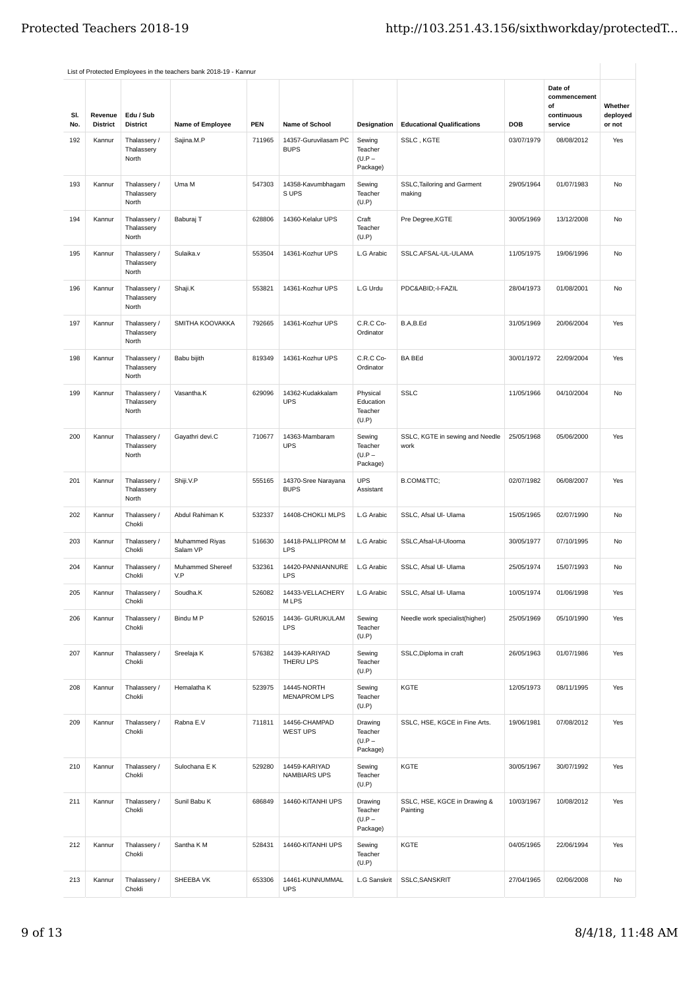| SI.<br>No. | Revenue<br><b>District</b> | Edu / Sub<br><b>District</b>        | <b>Name of Employee</b>    | <b>PEN</b> | <b>Name of School</b>               | Designation                                | <b>Educational Qualifications</b>        | <b>DOB</b> | Date of<br>commencement<br>of<br>continuous<br>service | Whether<br>deployed<br>or not |
|------------|----------------------------|-------------------------------------|----------------------------|------------|-------------------------------------|--------------------------------------------|------------------------------------------|------------|--------------------------------------------------------|-------------------------------|
| 192        | Kannur                     | Thalassery /<br>Thalassery<br>North | Sajina.M.P                 | 711965     | 14357-Guruvilasam PC<br><b>BUPS</b> | Sewing<br>Teacher<br>$(U.P -$<br>Package)  | SSLC, KGTE                               | 03/07/1979 | 08/08/2012                                             | Yes                           |
| 193        | Kannur                     | Thalassery /<br>Thalassery<br>North | Uma M                      | 547303     | 14358-Kavumbhaqam<br>S UPS          | Sewing<br>Teacher<br>(U.P)                 | SSLC, Tailoring and Garment<br>making    | 29/05/1964 | 01/07/1983                                             | <b>No</b>                     |
| 194        | Kannur                     | Thalassery /<br>Thalassery<br>North | Baburaj T                  | 628806     | 14360-Kelalur UPS                   | Craft<br>Teacher<br>(U.P)                  | Pre Degree, KGTE                         | 30/05/1969 | 13/12/2008                                             | No                            |
| 195        | Kannur                     | Thalassery /<br>Thalassery<br>North | Sulaika.v                  | 553504     | 14361-Kozhur UPS                    | L.G Arabic                                 | SSLC.AFSAL-UL-ULAMA                      | 11/05/1975 | 19/06/1996                                             | No                            |
| 196        | Kannur                     | Thalassery /<br>Thalassery<br>North | Shaji.K                    | 553821     | 14361-Kozhur UPS                    | L.G Urdu                                   | PDC&ABID-I-FAZIL                         | 28/04/1973 | 01/08/2001                                             | <b>No</b>                     |
| 197        | Kannur                     | Thalassery /<br>Thalassery<br>North | SMITHA KOOVAKKA            | 792665     | 14361-Kozhur UPS                    | C.R.C Co-<br>Ordinator                     | B.A,B.Ed                                 | 31/05/1969 | 20/06/2004                                             | Yes                           |
| 198        | Kannur                     | Thalassery /<br>Thalassery<br>North | Babu bijith                | 819349     | 14361-Kozhur UPS                    | C.R.C Co-<br>Ordinator                     | <b>BA BEd</b>                            | 30/01/1972 | 22/09/2004                                             | Yes                           |
| 199        | Kannur                     | Thalassery /<br>Thalassery<br>North | Vasantha.K                 | 629096     | 14362-Kudakkalam<br><b>UPS</b>      | Physical<br>Education<br>Teacher<br>(U.P)  | <b>SSLC</b>                              | 11/05/1966 | 04/10/2004                                             | No                            |
| 200        | Kannur                     | Thalassery /<br>Thalassery<br>North | Gayathri devi.C            | 710677     | 14363-Mambaram<br><b>UPS</b>        | Sewing<br>Teacher<br>$(U.P -$<br>Package)  | SSLC, KGTE in sewing and Needle<br>work  | 25/05/1968 | 05/06/2000                                             | Yes                           |
| 201        | Kannur                     | Thalassery /<br>Thalassery<br>North | Shiji.V.P                  | 555165     | 14370-Sree Narayana<br><b>BUPS</b>  | <b>UPS</b><br>Assistant                    | B.COM&TTC                                | 02/07/1982 | 06/08/2007                                             | Yes                           |
| 202        | Kannur                     | Thalassery /<br>Chokli              | Abdul Rahiman K            | 532337     | 14408-CHOKLI MLPS                   | L.G Arabic                                 | SSLC, Afsal UI- Ulama                    | 15/05/1965 | 02/07/1990                                             | No                            |
| 203        | Kannur                     | Thalassery /<br>Chokli              | Muhammed Riyas<br>Salam VP | 516630     | 14418-PALLIPROM M<br><b>LPS</b>     | L.G Arabic                                 | SSLC, Afsal-Ul-Ulooma                    | 30/05/1977 | 07/10/1995                                             | No                            |
| 204        | Kannur                     | Thalassery /<br>Chokli              | Muhammed Shereef<br>V.P    | 532361     | 14420-PANNIANNURE<br><b>LPS</b>     | L.G Arabic                                 | SSLC, Afsal UI- Ulama                    | 25/05/1974 | 15/07/1993                                             | <b>No</b>                     |
| 205        | Kannur                     | Thalassery /<br>Chokli              | Soudha.K                   | 526082     | 14433-VELLACHERY<br>M LPS           | L.G Arabic                                 | SSLC, Afsal Ul- Ulama                    | 10/05/1974 | 01/06/1998                                             | Yes                           |
| 206        | Kannur                     | Thalassery /<br>Chokli              | Bindu M P                  | 526015     | 14436- GURUKULAM<br><b>LPS</b>      | Sewing<br>Teacher<br>(U.P)                 | Needle work specialist(higher)           | 25/05/1969 | 05/10/1990                                             | Yes                           |
| 207        | Kannur                     | Thalassery /<br>Chokli              | Sreelaja K                 | 576382     | 14439-KARIYAD<br>THERU LPS          | Sewing<br>Teacher<br>(U.P)                 | SSLC, Diploma in craft                   | 26/05/1963 | 01/07/1986                                             | Yes                           |
| 208        | Kannur                     | Thalassery /<br>Chokli              | Hemalatha K                | 523975     | 14445-NORTH<br><b>MENAPROM LPS</b>  | Sewing<br>Teacher<br>(U.P)                 | KGTE                                     | 12/05/1973 | 08/11/1995                                             | Yes                           |
| 209        | Kannur                     | Thalassery /<br>Chokli              | Rabna E.V                  | 711811     | 14456-CHAMPAD<br>WEST UPS           | Drawing<br>Teacher<br>$(U.P -$<br>Package) | SSLC, HSE, KGCE in Fine Arts.            | 19/06/1981 | 07/08/2012                                             | Yes                           |
| 210        | Kannur                     | Thalassery /<br>Chokli              | Sulochana E K              | 529280     | 14459-KARIYAD<br>NAMBIARS UPS       | Sewing<br>Teacher<br>(U.P)                 | KGTE                                     | 30/05/1967 | 30/07/1992                                             | Yes                           |
| 211        | Kannur                     | Thalassery /<br>Chokli              | Sunil Babu K               | 686849     | 14460-KITANHI UPS                   | Drawing<br>Teacher<br>$(U.P -$<br>Package) | SSLC, HSE, KGCE in Drawing &<br>Painting | 10/03/1967 | 10/08/2012                                             | Yes                           |
| 212        | Kannur                     | Thalassery /<br>Chokli              | Santha K M                 | 528431     | 14460-KITANHI UPS                   | Sewing<br>Teacher<br>(U.P)                 | KGTE                                     | 04/05/1965 | 22/06/1994                                             | Yes                           |
| 213        | Kannur                     | Thalassery /<br>Chokli              | SHEEBA VK                  | 653306     | 14461-KUNNUMMAL<br><b>UPS</b>       | L.G Sanskrit                               | SSLC, SANSKRIT                           | 27/04/1965 | 02/06/2008                                             | No                            |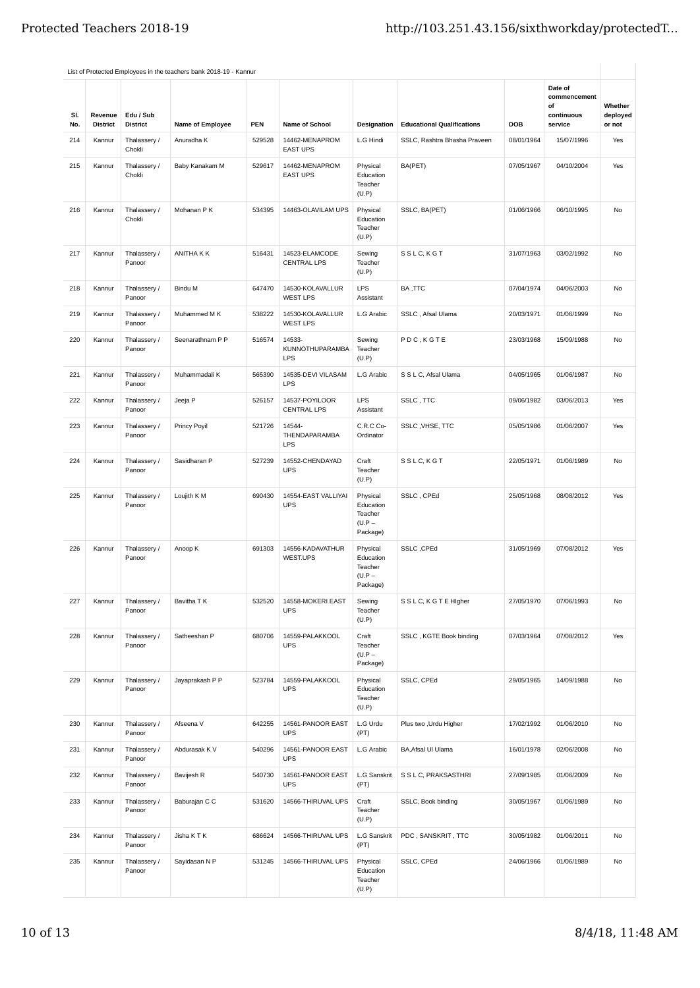|            |                            |                              |                     |            |                                                |                                                          |                                   |            | Date of                                     |                               |
|------------|----------------------------|------------------------------|---------------------|------------|------------------------------------------------|----------------------------------------------------------|-----------------------------------|------------|---------------------------------------------|-------------------------------|
| SI.<br>No. | Revenue<br><b>District</b> | Edu / Sub<br><b>District</b> | Name of Employee    | <b>PEN</b> | Name of School                                 | Designation                                              | <b>Educational Qualifications</b> | DOB        | commencement<br>of<br>continuous<br>service | Whether<br>deployed<br>or not |
| 214        | Kannur                     | Thalassery /<br>Chokli       | Anuradha K          | 529528     | 14462-MENAPROM<br><b>EAST UPS</b>              | L.G Hindi                                                | SSLC, Rashtra Bhasha Praveen      | 08/01/1964 | 15/07/1996                                  | Yes                           |
| 215        | Kannur                     | Thalassery /<br>Chokli       | Baby Kanakam M      | 529617     | 14462-MENAPROM<br><b>EAST UPS</b>              | Physical<br>Education<br>Teacher<br>(U.P)                | BA(PET)                           | 07/05/1967 | 04/10/2004                                  | Yes                           |
| 216        | Kannur                     | Thalassery /<br>Chokli       | Mohanan P K         | 534395     | 14463-OLAVILAM UPS                             | Physical<br>Education<br>Teacher<br>(U.P)                | SSLC, BA(PET)                     | 01/06/1966 | 06/10/1995                                  | <b>No</b>                     |
| 217        | Kannur                     | Thalassery /<br>Panoor       | ANITHA K K          | 516431     | 14523-ELAMCODE<br><b>CENTRAL LPS</b>           | Sewing<br>Teacher<br>(U.P)                               | SSLC, KGT                         | 31/07/1963 | 03/02/1992                                  | <b>No</b>                     |
| 218        | Kannur                     | Thalassery /<br>Panoor       | Bindu M             | 647470     | 14530-KOLAVALLUR<br><b>WEST LPS</b>            | LPS<br>Assistant                                         | BA, TTC                           | 07/04/1974 | 04/06/2003                                  | No                            |
| 219        | Kannur                     | Thalassery /<br>Panoor       | Muhammed M K        | 538222     | 14530-KOLAVALLUR<br><b>WEST LPS</b>            | L.G Arabic                                               | SSLC, Afsal Ulama                 | 20/03/1971 | 01/06/1999                                  | No                            |
| 220        | Kannur                     | Thalassery /<br>Panoor       | Seenarathnam P P    | 516574     | 14533-<br><b>KUNNOTHUPARAMBA</b><br><b>LPS</b> | Sewing<br>Teacher<br>(U.P)                               | PDC, KGTE                         | 23/03/1968 | 15/09/1988                                  | No                            |
| 221        | Kannur                     | Thalassery /<br>Panoor       | Muhammadali K       | 565390     | 14535-DEVI VILASAM<br>LPS                      | L.G Arabic                                               | S S L C, Afsal Ulama              | 04/05/1965 | 01/06/1987                                  | No                            |
| 222        | Kannur                     | Thalassery /<br>Panoor       | Jeeja P             | 526157     | 14537-POYILOOR<br><b>CENTRAL LPS</b>           | LPS<br>Assistant                                         | SSLC, TTC                         | 09/06/1982 | 03/06/2013                                  | Yes                           |
| 223        | Kannur                     | Thalassery /<br>Panoor       | <b>Princy Poyil</b> | 521726     | 14544-<br>THENDAPARAMBA<br><b>LPS</b>          | C.R.C Co-<br>Ordinator                                   | SSLC, VHSE, TTC                   | 05/05/1986 | 01/06/2007                                  | Yes                           |
| 224        | Kannur                     | Thalassery /<br>Panoor       | Sasidharan P        | 527239     | 14552-CHENDAYAD<br><b>UPS</b>                  | Craft<br>Teacher<br>(U.P)                                | SSLC, KGT                         | 22/05/1971 | 01/06/1989                                  | No                            |
| 225        | Kannur                     | Thalassery /<br>Panoor       | Loujith K M         | 690430     | 14554-EAST VALLIYAI<br><b>UPS</b>              | Physical<br>Education<br>Teacher<br>$(U.P -$<br>Package) | SSLC, CPEd                        | 25/05/1968 | 08/08/2012                                  | Yes                           |
| 226        | Kannur                     | Thalassery /<br>Panoor       | Anoop K             | 691303     | 14556-KADAVATHUR<br>WEST.UPS                   | Physical<br>Education<br>Teacher<br>$(U.P -$<br>Package) | SSLC, CPEd                        | 31/05/1969 | 07/08/2012                                  | Yes                           |
| 227        | Kannur                     | Thalassery /<br>Panoor       | Bavitha T K         | 532520     | 14558-MOKERI EAST<br><b>UPS</b>                | Sewing<br>Teacher<br>(U.P)                               | S S L C, K G T E Higher           | 27/05/1970 | 07/06/1993                                  | No                            |
| 228        | Kannur                     | Thalassery /<br>Panoor       | Satheeshan P        | 680706     | 14559-PALAKKOOL<br><b>UPS</b>                  | Craft<br>Teacher<br>$(U.P -$<br>Package)                 | SSLC, KGTE Book binding           | 07/03/1964 | 07/08/2012                                  | Yes                           |
| 229        | Kannur                     | Thalassery /<br>Panoor       | Jayaprakash P P     | 523784     | 14559-PALAKKOOL<br><b>UPS</b>                  | Physical<br>Education<br>Teacher<br>(U.P)                | SSLC, CPEd                        | 29/05/1965 | 14/09/1988                                  | No                            |
| 230        | Kannur                     | Thalassery /<br>Panoor       | Afseena V           | 642255     | 14561-PANOOR EAST<br><b>UPS</b>                | L.G Urdu<br>(PT)                                         | Plus two , Urdu Higher            | 17/02/1992 | 01/06/2010                                  | No                            |
| 231        | Kannur                     | Thalassery /<br>Panoor       | Abdurasak K V       | 540296     | 14561-PANOOR EAST<br><b>UPS</b>                | L.G Arabic                                               | BA, Afsal UI Ulama                | 16/01/1978 | 02/06/2008                                  | No                            |
| 232        | Kannur                     | Thalassery /<br>Panoor       | Bavijesh R          | 540730     | 14561-PANOOR EAST<br><b>UPS</b>                | L.G Sanskrit<br>(PT)                                     | S S L C, PRAKSASTHRI              | 27/09/1985 | 01/06/2009                                  | No                            |
| 233        | Kannur                     | Thalassery /<br>Panoor       | Baburajan C C       | 531620     | 14566-THIRUVAL UPS                             | Craft<br>Teacher<br>(U.P)                                | SSLC, Book binding                | 30/05/1967 | 01/06/1989                                  | No                            |
| 234        | Kannur                     | Thalassery /<br>Panoor       | Jisha K T K         | 686624     | 14566-THIRUVAL UPS                             | L.G Sanskrit<br>(PT)                                     | PDC, SANSKRIT, TTC                | 30/05/1982 | 01/06/2011                                  | No                            |
| 235        | Kannur                     | Thalassery /<br>Panoor       | Sayidasan N P       | 531245     | 14566-THIRUVAL UPS                             | Physical<br>Education<br>Teacher<br>(U.P)                | SSLC, CPEd                        | 24/06/1966 | 01/06/1989                                  | No                            |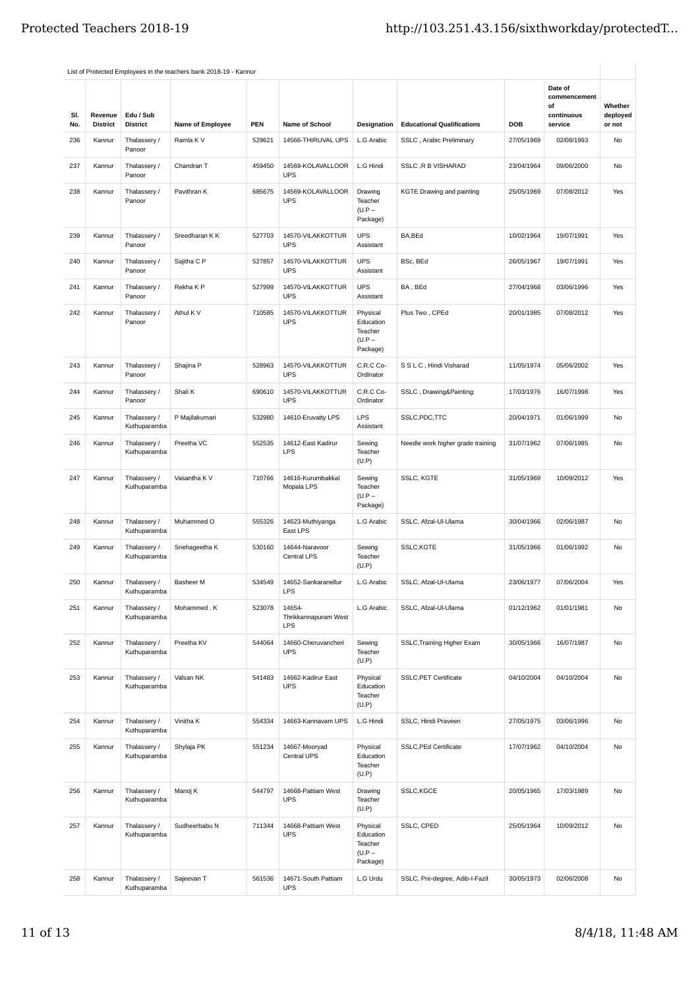|            |                            |                              | List of Protected Employees in the teachers bank 2018-19 - Kannur |            |                                              |                                                          |                                   |            |                                                        |                               |
|------------|----------------------------|------------------------------|-------------------------------------------------------------------|------------|----------------------------------------------|----------------------------------------------------------|-----------------------------------|------------|--------------------------------------------------------|-------------------------------|
| SI.<br>No. | Revenue<br><b>District</b> | Edu / Sub<br><b>District</b> | Name of Employee                                                  | <b>PEN</b> | <b>Name of School</b>                        | Designation                                              | <b>Educational Qualifications</b> | <b>DOB</b> | Date of<br>commencement<br>of<br>continuous<br>service | Whether<br>deployed<br>or not |
| 236        | Kannur                     | Thalassery /<br>Panoor       | Ramla K V                                                         | 529621     | 14566-THIRUVAL UPS                           | L.G Arabic                                               | SSLC, Arabic Preliminary          | 27/05/1969 | 02/08/1993                                             | No                            |
| 237        | Kannur                     | Thalassery /<br>Panoor       | Chandran T                                                        | 459450     | 14569-KOLAVALLOOR<br><b>UPS</b>              | L.G Hindi                                                | SSLC, R B VISHARAD                | 23/04/1964 | 09/06/2000                                             | No                            |
| 238        | Kannur                     | Thalassery /<br>Panoor       | Pavithran K                                                       | 685675     | 14569-KOLAVALLOOR<br><b>UPS</b>              | Drawing<br>Teacher<br>$(U.P -$<br>Package)               | KGTE Drawing and painting         | 25/05/1969 | 07/08/2012                                             | Yes                           |
| 239        | Kannur                     | Thalassery /<br>Panoor       | Sreedharan K K                                                    | 527703     | 14570-VILAKKOTTUR<br><b>UPS</b>              | <b>UPS</b><br>Assistant                                  | BA,BEd                            | 10/02/1964 | 19/07/1991                                             | Yes                           |
| 240        | Kannur                     | Thalassery /<br>Panoor       | Sajitha C P                                                       | 527857     | 14570-VILAKKOTTUR<br><b>UPS</b>              | <b>UPS</b><br>Assistant                                  | BSc, BEd                          | 26/05/1967 | 19/07/1991                                             | Yes                           |
| 241        | Kannur                     | Thalassery /<br>Panoor       | Rekha K P                                                         | 527999     | 14570-VILAKKOTTUR<br><b>UPS</b>              | <b>UPS</b><br>Assistant                                  | BA, BEd                           | 27/04/1968 | 03/06/1996                                             | Yes                           |
| 242        | Kannur                     | Thalassery /<br>Panoor       | Athul K V                                                         | 710585     | 14570-VILAKKOTTUR<br><b>UPS</b>              | Physical<br>Education<br>Teacher<br>$(U.P -$<br>Package) | Plus Two, CPEd                    | 20/01/1985 | 07/08/2012                                             | Yes                           |
| 243        | Kannur                     | Thalassery /<br>Panoor       | Shajina P                                                         | 528963     | 14570-VILAKKOTTUR<br><b>UPS</b>              | C.R.C Co-<br>Ordinator                                   | S S L C, Hindi Visharad           | 11/05/1974 | 05/06/2002                                             | Yes                           |
| 244        | Kannur                     | Thalassery /<br>Panoor       | Shali K                                                           | 690610     | 14570-VILAKKOTTUR<br><b>UPS</b>              | C.R.C Co-<br>Ordinator                                   | SSLC, Drawing&Painting            | 17/03/1976 | 16/07/1998                                             | Yes                           |
| 245        | Kannur                     | Thalassery /<br>Kuthuparamba | P Majilakumari                                                    | 532980     | 14610-Eruvatty LPS                           | <b>LPS</b><br>Assistant                                  | SSLC,PDC,TTC                      | 20/04/1971 | 01/06/1999                                             | No                            |
| 246        | Kannur                     | Thalassery /<br>Kuthuparamba | Preetha VC                                                        | 552535     | 14612-East Kadirur<br><b>LPS</b>             | Sewing<br>Teacher<br>(U.P)                               | Needle work higher grade training | 31/07/1962 | 07/06/1985                                             | No                            |
| 247        | Kannur                     | Thalassery /<br>Kuthuparamba | Vasantha K V                                                      | 710766     | 14616-Kurumbakkal<br>Mopala LPS              | Sewing<br>Teacher<br>$(U.P -$<br>Package)                | SSLC, KGTE                        | 31/05/1969 | 10/09/2012                                             | Yes                           |
| 248        | Kannur                     | Thalassery /<br>Kuthuparamba | Muhammed O                                                        | 555326     | 14623-Muthiyanga<br>East LPS                 | L.G Arabic                                               | SSLC, Afzal-Ul-Ulama              | 30/04/1966 | 02/06/1987                                             | No                            |
| 249        | Kannur                     | Thalassery /<br>Kuthuparamba | Snehageetha K                                                     | 530160     | 14644-Naravoor<br>Central LPS                | Sewing<br>Teacher<br>(U.P)                               | SSLC, KGTE                        | 31/05/1966 | 01/06/1992                                             | No                            |
| 250        | Kannur                     | Thalassery /<br>Kuthuparamba | Basheer M                                                         | 534549     | 14652-Sankaranellur<br><b>LPS</b>            | L.G Arabic                                               | SSLC, Afzal-Ul-Ulama              | 23/06/1977 | 07/06/2004                                             | Yes                           |
| 251        | Kannur                     | Thalassery /<br>Kuthuparamba | Mohammed, K                                                       | 523078     | 14654-<br>Thrikkannapuram West<br><b>LPS</b> | L.G Arabic                                               | SSLC, Afzal-Ul-Ulama              | 01/12/1962 | 01/01/1981                                             | No                            |
| 252        | Kannur                     | Thalassery /<br>Kuthuparamba | Preetha KV                                                        | 544064     | 14660-Cheruvancheri<br><b>UPS</b>            | Sewing<br>Teacher<br>(U.P)                               | SSLC, Training Higher Exam        | 30/05/1966 | 16/07/1987                                             | No                            |
| 253        | Kannur                     | Thalassery /<br>Kuthuparamba | Valsan NK                                                         | 541483     | 14662-Kadirur East<br><b>UPS</b>             | Physical<br>Education<br>Teacher<br>(U.P)                | <b>SSLC, PET Certificate</b>      | 04/10/2004 | 04/10/2004                                             | No                            |
| 254        | Kannur                     | Thalassery /<br>Kuthuparamba | Vinitha K                                                         | 554334     | 14663-Kannavam UPS                           | L.G Hindi                                                | SSLC, Hindi Praveen               | 27/05/1975 | 03/06/1996                                             | No                            |
| 255        | Kannur                     | Thalassery /<br>Kuthuparamba | Shylaja PK                                                        | 551234     | 14667-Mooryad<br>Central UPS                 | Physical<br>Education<br>Teacher<br>(U.P)                | SSLC, PEd Certificate             | 17/07/1962 | 04/10/2004                                             | No                            |
| 256        | Kannur                     | Thalassery /<br>Kuthuparamba | Manoj K                                                           | 544797     | 14668-Pattiam West<br><b>UPS</b>             | Drawing<br>Teacher<br>(U.P)                              | SSLC,KGCE                         | 20/05/1965 | 17/03/1989                                             | No                            |
| 257        | Kannur                     | Thalassery /<br>Kuthuparamba | Sudheerbabu N                                                     | 711344     | 14668-Pattiam West<br><b>UPS</b>             | Physical<br>Education<br>Teacher<br>$(U.P -$<br>Package) | SSLC, CPED                        | 25/05/1964 | 10/09/2012                                             | No                            |
| 258        | Kannur                     | Thalassery /<br>Kuthuparamba | Sajeevan T                                                        | 561536     | 14671-South Pattiam<br><b>UPS</b>            | L.G Urdu                                                 | SSLC, Pre-degree, Adib-I-Fazil    | 30/05/1973 | 02/06/2008                                             | No                            |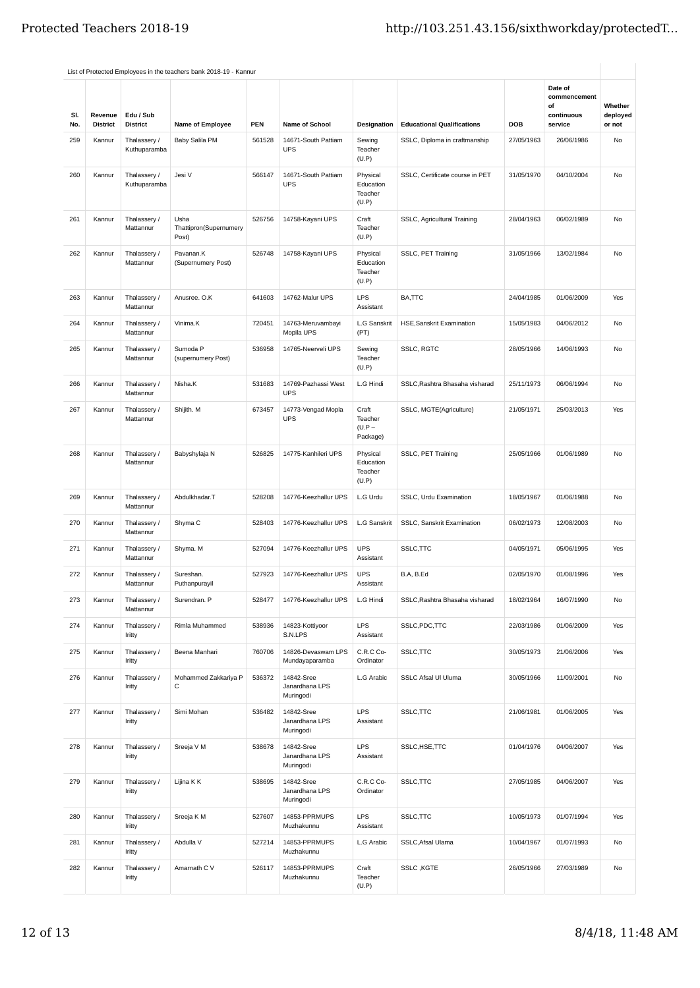|            |                            |                              | List of Protected Employees in the teachers bank 2018-19 - Kannur |        |                                           |                                           |                                   |            |                                                        |                               |
|------------|----------------------------|------------------------------|-------------------------------------------------------------------|--------|-------------------------------------------|-------------------------------------------|-----------------------------------|------------|--------------------------------------------------------|-------------------------------|
| SI.<br>No. | Revenue<br><b>District</b> | Edu / Sub<br><b>District</b> | <b>Name of Employee</b>                                           | PEN    | <b>Name of School</b>                     | Designation                               | <b>Educational Qualifications</b> | DOB        | Date of<br>commencement<br>of<br>continuous<br>service | Whether<br>deployed<br>or not |
| 259        | Kannur                     | Thalassery /<br>Kuthuparamba | Baby Salila PM                                                    | 561528 | 14671-South Pattiam<br><b>UPS</b>         | Sewing<br>Teacher<br>(U.P)                | SSLC, Diploma in craftmanship     | 27/05/1963 | 26/06/1986                                             | No                            |
| 260        | Kannur                     | Thalassery /<br>Kuthuparamba | Jesi V                                                            | 566147 | 14671-South Pattiam<br><b>UPS</b>         | Physical<br>Education<br>Teacher<br>(U.P) | SSLC, Certificate course in PET   | 31/05/1970 | 04/10/2004                                             | No                            |
| 261        | Kannur                     | Thalassery /<br>Mattannur    | Usha<br>Thattipron(Supernumery<br>Post)                           | 526756 | 14758-Kayani UPS                          | Craft<br>Teacher<br>(U.P)                 | SSLC, Agricultural Training       | 28/04/1963 | 06/02/1989                                             | No                            |
| 262        | Kannur                     | Thalassery /<br>Mattannur    | Pavanan.K<br>(Supernumery Post)                                   | 526748 | 14758-Kayani UPS                          | Physical<br>Education<br>Teacher<br>(U.P) | SSLC, PET Training                | 31/05/1966 | 13/02/1984                                             | No                            |
| 263        | Kannur                     | Thalassery /<br>Mattannur    | Anusree. O.K                                                      | 641603 | 14762-Malur UPS                           | <b>LPS</b><br>Assistant                   | BA,TTC                            | 24/04/1985 | 01/06/2009                                             | Yes                           |
| 264        | Kannur                     | Thalassery /<br>Mattannur    | Vinima.K                                                          | 720451 | 14763-Meruvambayi<br>Mopila UPS           | L.G Sanskrit<br>(PT)                      | <b>HSE, Sanskrit Examination</b>  | 15/05/1983 | 04/06/2012                                             | No                            |
| 265        | Kannur                     | Thalassery /<br>Mattannur    | Sumoda P<br>(supernumery Post)                                    | 536958 | 14765-Neerveli UPS                        | Sewing<br>Teacher<br>(U.P)                | <b>SSLC, RGTC</b>                 | 28/05/1966 | 14/06/1993                                             | No                            |
| 266        | Kannur                     | Thalassery /<br>Mattannur    | Nisha.K                                                           | 531683 | 14769-Pazhassi West<br><b>UPS</b>         | L.G Hindi                                 | SSLC, Rashtra Bhasaha visharad    | 25/11/1973 | 06/06/1994                                             | No                            |
| 267        | Kannur                     | Thalassery /<br>Mattannur    | Shijith. M                                                        | 673457 | 14773-Vengad Mopla<br><b>UPS</b>          | Craft<br>Teacher<br>$(U.P -$<br>Package)  | SSLC, MGTE(Agriculture)           | 21/05/1971 | 25/03/2013                                             | Yes                           |
| 268        | Kannur                     | Thalassery /<br>Mattannur    | Babyshylaja N                                                     | 526825 | 14775-Kanhileri UPS                       | Physical<br>Education<br>Teacher<br>(U.P) | SSLC, PET Training                | 25/05/1966 | 01/06/1989                                             | No                            |
| 269        | Kannur                     | Thalassery /<br>Mattannur    | Abdulkhadar.T                                                     | 528208 | 14776-Keezhallur UPS                      | L.G Urdu                                  | SSLC, Urdu Examination            | 18/05/1967 | 01/06/1988                                             | No                            |
| 270        | Kannur                     | Thalassery /<br>Mattannur    | Shyma <sub>C</sub>                                                | 528403 | 14776-Keezhallur UPS                      | L.G Sanskrit                              | SSLC, Sanskrit Examination        | 06/02/1973 | 12/08/2003                                             | No                            |
| 271        | Kannur                     | Thalassery /<br>Mattannur    | Shyma. M                                                          | 527094 | 14776-Keezhallur UPS                      | <b>UPS</b><br>Assistant                   | SSLC, TTC                         | 04/05/1971 | 05/06/1995                                             | Yes                           |
| 272        | Kannur                     | Thalassery /<br>Mattannur    | Sureshan.<br>Puthanpurayil                                        | 527923 | 14776-Keezhallur UPS                      | <b>UPS</b><br>Assistant                   | B.A, B.Ed                         | 02/05/1970 | 01/08/1996                                             | Yes                           |
| 273        | Kannur                     | Thalassery /<br>Mattannur    | Surendran. P                                                      | 528477 | 14776-Keezhallur UPS                      | L.G Hindi                                 | SSLC, Rashtra Bhasaha visharad    | 18/02/1964 | 16/07/1990                                             | No                            |
| 274        | Kannur                     | Thalassery /<br>Iritty       | Rimla Muhammed                                                    | 538936 | 14823-Kottiyoor<br>S.N.LPS                | LPS<br>Assistant                          | SSLC, PDC, TTC                    | 22/03/1986 | 01/06/2009                                             | Yes                           |
| 275        | Kannur                     | Thalassery /<br>Iritty       | Beena Manhari                                                     | 760706 | 14826-Devaswam LPS<br>Mundayaparamba      | C.R.C Co-<br>Ordinator                    | SSLC, TTC                         | 30/05/1973 | 21/06/2006                                             | Yes                           |
| 276        | Kannur                     | Thalassery /<br>Iritty       | Mohammed Zakkariya P<br>С                                         | 536372 | 14842-Sree<br>Janardhana LPS<br>Muringodi | L.G Arabic                                | SSLC Afsal UI Uluma               | 30/05/1966 | 11/09/2001                                             | No                            |
| 277        | Kannur                     | Thalassery /<br>Iritty       | Simi Mohan                                                        | 536482 | 14842-Sree<br>Janardhana LPS<br>Muringodi | LPS<br>Assistant                          | SSLC, TTC                         | 21/06/1981 | 01/06/2005                                             | Yes                           |
| 278        | Kannur                     | Thalassery /<br>Iritty       | Sreeja V M                                                        | 538678 | 14842-Sree<br>Janardhana LPS<br>Muringodi | LPS<br>Assistant                          | SSLC, HSE, TTC                    | 01/04/1976 | 04/06/2007                                             | Yes                           |
| 279        | Kannur                     | Thalassery /<br>Iritty       | Lijina K K                                                        | 538695 | 14842-Sree<br>Janardhana LPS<br>Muringodi | C.R.C Co-<br>Ordinator                    | SSLC, TTC                         | 27/05/1985 | 04/06/2007                                             | Yes                           |
| 280        | Kannur                     | Thalassery /<br>Iritty       | Sreeja K M                                                        | 527607 | 14853-PPRMUPS<br>Muzhakunnu               | LPS<br>Assistant                          | SSLC, TTC                         | 10/05/1973 | 01/07/1994                                             | Yes                           |
| 281        | Kannur                     | Thalassery /<br>Iritty       | Abdulla V                                                         | 527214 | 14853-PPRMUPS<br>Muzhakunnu               | L.G Arabic                                | SSLC, Afsal Ulama                 | 10/04/1967 | 01/07/1993                                             | No                            |
| 282        | Kannur                     | Thalassery /<br>Iritty       | Amarnath C V                                                      | 526117 | 14853-PPRMUPS<br>Muzhakunnu               | Craft<br>Teacher<br>(U.P)                 | SSLC, KGTE                        | 26/05/1966 | 27/03/1989                                             | No                            |